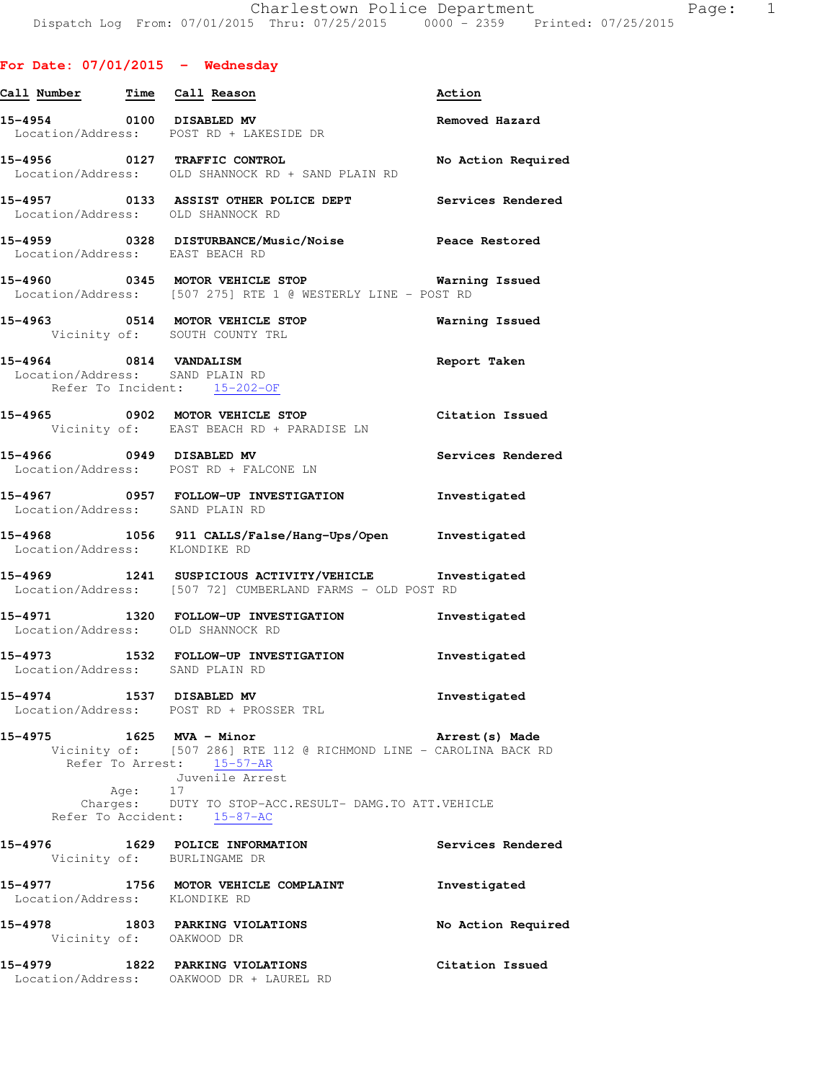|  | For Date: 07/01/2015 |  |  |  | Wednesday |
|--|----------------------|--|--|--|-----------|
|--|----------------------|--|--|--|-----------|

| Call Number Time Call Reason             |                                                                                                                                                                                                           | Action             |
|------------------------------------------|-----------------------------------------------------------------------------------------------------------------------------------------------------------------------------------------------------------|--------------------|
|                                          | 15-4954 0100 DISABLED MV<br>Location/Address: POST RD + LAKESIDE DR                                                                                                                                       | Removed Hazard     |
|                                          | 15-4956 0127 TRAFFIC CONTROL<br>Location/Address: OLD SHANNOCK RD + SAND PLAIN RD                                                                                                                         | No Action Required |
|                                          | 15-4957 0133 ASSIST OTHER POLICE DEPT Services Rendered<br>Location/Address: OLD SHANNOCK RD                                                                                                              |                    |
| Location/Address: EAST BEACH RD          | 15-4959 0328 DISTURBANCE/Music/Noise                                                                                                                                                                      | Peace Restored     |
|                                          | 15-4960 0345 MOTOR VEHICLE STOP 6 Warning Issued<br>Location/Address: [507 275] RTE 1 @ WESTERLY LINE - POST RD                                                                                           |                    |
|                                          | 15-4963 0514 MOTOR VEHICLE STOP<br>Vicinity of: SOUTH COUNTY TRL                                                                                                                                          | Warning Issued     |
|                                          | 15-4964 0814 VANDALISM<br>Location/Address: SAND PLAIN RD<br>Refer To Incident: 15-202-OF                                                                                                                 | Report Taken       |
|                                          | 15-4965 0902 MOTOR VEHICLE STOP<br>Vicinity of: EAST BEACH RD + PARADISE LN                                                                                                                               | Citation Issued    |
|                                          | 15-4966 0949 DISABLED MV<br>Location/Address: POST RD + FALCONE LN                                                                                                                                        | Services Rendered  |
|                                          | 15-4967 0957 FOLLOW-UP INVESTIGATION Thvestigated<br>Location/Address: SAND PLAIN RD                                                                                                                      |                    |
| Location/Address: KLONDIKE RD            | 15-4968 1056 911 CALLS/False/Hang-Ups/Open Investigated                                                                                                                                                   |                    |
|                                          | 15-4969 1241 SUSPICIOUS ACTIVITY/VEHICLE Investigated<br>Location/Address: [507 72] CUMBERLAND FARMS - OLD POST RD                                                                                        |                    |
|                                          | 15-4971 1320 FOLLOW-UP INVESTIGATION 1nvestigated<br>Location/Address: OLD SHANNOCK RD                                                                                                                    |                    |
| Location/Address: SAND PLAIN RD          | 15-4973 1532 FOLLOW-UP INVESTIGATION                                                                                                                                                                      | Investigated       |
| 15-4974                                  | 1537 DISABLED MV<br>Location/Address: POST RD + PROSSER TRL                                                                                                                                               | Investigated       |
| 15-4975                                  | 1625 MVA - Minor<br>Vicinity of: [507 286] RTE 112 @ RICHMOND LINE - CAROLINA BACK RD<br>Refer To Arrest: 15-57-AR<br>Juvenile Arrest<br>Age: 17<br>Charges: DUTY TO STOP-ACC.RESULT- DAMG.TO ATT.VEHICLE | Arrest(s) Made     |
|                                          | Refer To Accident: 15-87-AC                                                                                                                                                                               |                    |
|                                          | 15-4976 1629 POLICE INFORMATION<br>Vicinity of: BURLINGAME DR                                                                                                                                             | Services Rendered  |
| 15-4977<br>Location/Address: KLONDIKE RD | 1756 MOTOR VEHICLE COMPLAINT                                                                                                                                                                              | Investigated       |
|                                          | 15-4978 1803 PARKING VIOLATIONS<br>Vicinity of: OAKWOOD DR                                                                                                                                                | No Action Required |
| 15-4979                                  | 1822 PARKING VIOLATIONS<br>Location/Address: OAKWOOD DR + LAUREL RD                                                                                                                                       | Citation Issued    |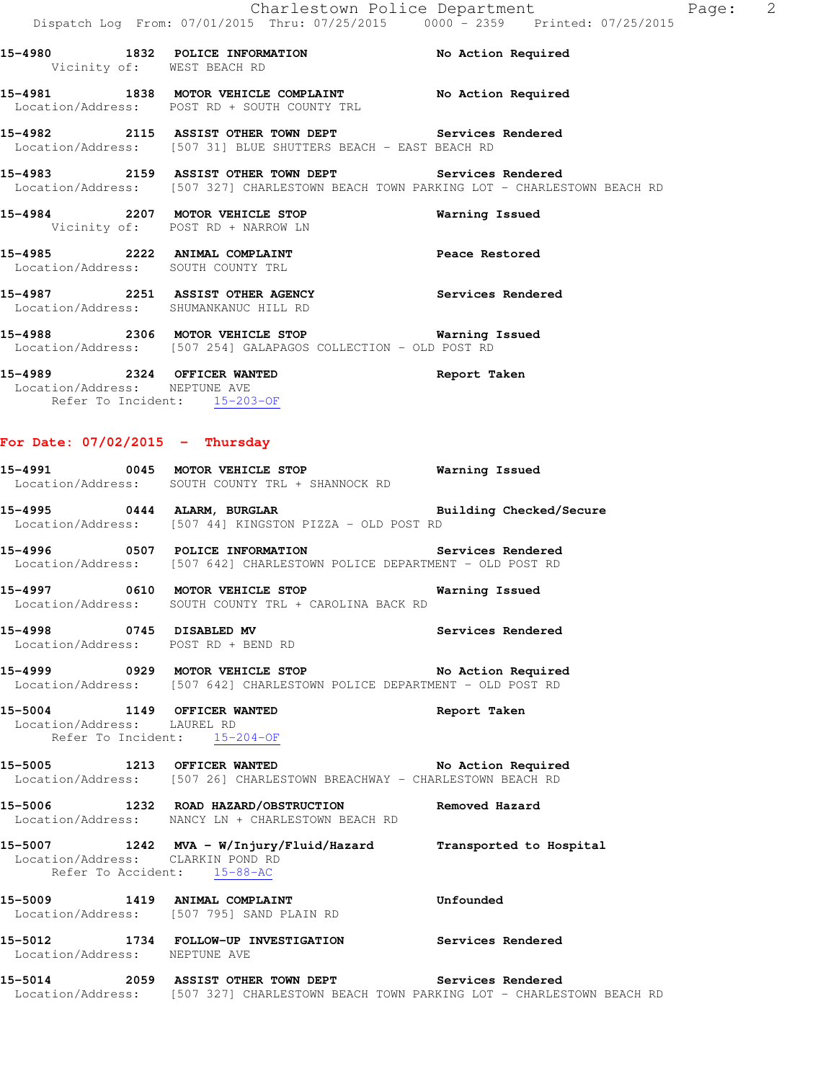**15-4980 1832 POLICE INFORMATION No Action Required**  Vicinity of: WEST BEACH RD **15-4981 1838 MOTOR VEHICLE COMPLAINT No Action Required**  Location/Address: POST RD + SOUTH COUNTY TRL **15-4982 2115 ASSIST OTHER TOWN DEPT Services Rendered**  Location/Address: [507 31] BLUE SHUTTERS BEACH - EAST BEACH RD **15-4983 2159 ASSIST OTHER TOWN DEPT Services Rendered**  Location/Address: [507 327] CHARLESTOWN BEACH TOWN PARKING LOT - CHARLESTOWN BEACH RD **15-4984 2207 MOTOR VEHICLE STOP Warning Issued** 

15-4985 2222 ANIMAL COMPLAINT **Peace Restored** Location/Address: SOUTH COUNTY TRL

**15-4987 2251 ASSIST OTHER AGENCY Services Rendered**  Location/Address: SHUMANKANUC HILL RD

**15-4988 2306 MOTOR VEHICLE STOP Warning Issued**  Location/Address: [507 254] GALAPAGOS COLLECTION - OLD POST RD

**15-4989 2324 OFFICER WANTED Report Taken**  Location/Address: NEPTUNE AVE Refer To Incident: 15-203-OF

## **For Date: 07/02/2015 - Thursday**

Vicinity of: POST RD + NARROW LN

| rui bace: 0770272013                                             |                                                                                                                                                |           |
|------------------------------------------------------------------|------------------------------------------------------------------------------------------------------------------------------------------------|-----------|
|                                                                  | 15-4991 0045 MOTOR VEHICLE STOP <b>Warning Issued</b><br>Location/Address: SOUTH COUNTY TRL + SHANNOCK RD                                      |           |
|                                                                  | 15-4995 0444 ALARM, BURGLAR <b>Example 18 and Solution Checked/Secure</b><br>Location/Address: [507 44] KINGSTON PIZZA - OLD POST RD           |           |
|                                                                  | Location/Address: [507 642] CHARLESTOWN POLICE DEPARTMENT - OLD POST RD                                                                        |           |
|                                                                  | 15-4997 0610 MOTOR VEHICLE STOP <b>120 Marning Issued</b><br>Location/Address: SOUTH COUNTY TRL + CAROLINA BACK RD                             |           |
|                                                                  | 15-4998 		 0745 	 DISABLED MV 		 Services Rendered bocation/Address: 		 POST RD + BEND RD                                                      |           |
|                                                                  | Location/Address: [507 642] CHARLESTOWN POLICE DEPARTMENT - OLD POST RD                                                                        |           |
| Location/Address: LAUREL RD                                      | 15-5004 1149 OFFICER WANTED <b>15-5000 Report Taken</b><br>Refer To Incident: 15-204-OF                                                        |           |
|                                                                  | Location/Address: [507 26] CHARLESTOWN BREACHWAY - CHARLESTOWN BEACH RD                                                                        |           |
|                                                                  | 15-5006 1232 ROAD HAZARD/OBSTRUCTION Removed Hazard<br>Location/Address: NANCY LN + CHARLESTOWN BEACH RD                                       |           |
| Location/Address: CLARKIN POND RD<br>Refer To Accident: 15-88-AC | 15-5007 1242 MVA - W/Injury/Fluid/Hazard Transported to Hospital                                                                               |           |
|                                                                  | 15-5009 1419 ANIMAL COMPLAINT<br>Location/Address: [507 795] SAND PLAIN RD                                                                     | Unfounded |
| Location/Address: NEPTUNE AVE                                    | 15-5012 1734 FOLLOW-UP INVESTIGATION Services Rendered                                                                                         |           |
|                                                                  | 15-5014 2059 ASSIST OTHER TOWN DEPT Services Rendered<br>Location/Address: [507 327] CHARLESTOWN BEACH TOWN PARKING LOT - CHARLESTOWN BEACH RD |           |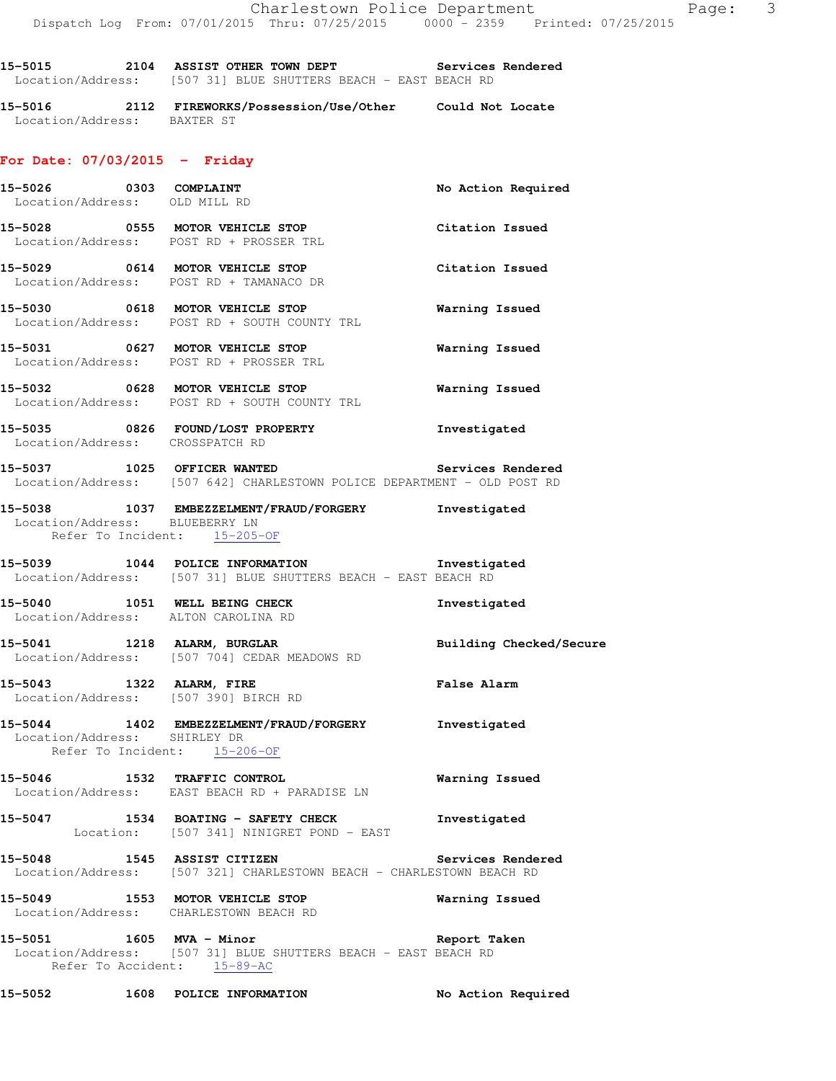**15-5015 2104 ASSIST OTHER TOWN DEPT Services Rendered** 

**15-5016 2112 FIREWORKS/Possession/Use/Other Could Not Locate** 

Location/Address: [507 31] BLUE SHUTTERS BEACH - EAST BEACH RD

| Location/Address: BAXTER ST                             |                                                                                                                           |                         |
|---------------------------------------------------------|---------------------------------------------------------------------------------------------------------------------------|-------------------------|
| For Date: $07/03/2015$ - Friday                         |                                                                                                                           |                         |
| 15-5026 0303 COMPLAINT<br>Location/Address: OLD MILL RD |                                                                                                                           | No Action Required      |
|                                                         | 15-5028 0555 MOTOR VEHICLE STOP<br>Location/Address: POST RD + PROSSER TRL                                                | Citation Issued         |
|                                                         | 15-5029 0614 MOTOR VEHICLE STOP<br>Location/Address: POST RD + TAMANACO DR                                                | Citation Issued         |
|                                                         | 15-5030 0618 MOTOR VEHICLE STOP<br>Location/Address: POST RD + SOUTH COUNTY TRL                                           | Warning Issued          |
|                                                         | 15-5031 0627 MOTOR VEHICLE STOP<br>Location/Address: POST RD + PROSSER TRL                                                | <b>Warning Issued</b>   |
|                                                         | 15-5032 0628 MOTOR VEHICLE STOP<br>Location/Address: POST RD + SOUTH COUNTY TRL                                           | <b>Warning Issued</b>   |
|                                                         | 15-5035 0826 FOUND/LOST PROPERTY The Investigated<br>Location/Address: CROSSPATCH RD                                      |                         |
|                                                         | 15-5037 1025 OFFICER WANTED<br>Location/Address: [507 642] CHARLESTOWN POLICE DEPARTMENT - OLD POST RD                    | Services Rendered       |
|                                                         | 15-5038 1037 EMBEZZELMENT/FRAUD/FORGERY Investigated<br>Location/Address: BLUEBERRY LN<br>Refer To Incident: 15-205-OF    |                         |
|                                                         | 15-5039 1044 POLICE INFORMATION 100 Investigated<br>Location/Address: [507 31] BLUE SHUTTERS BEACH - EAST BEACH RD        |                         |
|                                                         | 15-5040 1051 WELL BEING CHECK<br>Location/Address: ALTON CAROLINA RD                                                      | Investigated            |
|                                                         | 15-5041 1218 ALARM, BURGLAR<br>Location/Address: [507 704] CEDAR MEADOWS RD                                               | Building Checked/Secure |
|                                                         | 15-5043 1322 ALARM, FIRE<br>Location/Address: [507 390] BIRCH RD                                                          | <b>False Alarm</b>      |
| Location/Address: SHIRLEY DR                            | 15-5044 1402 EMBEZZELMENT/FRAUD/FORGERY Investigated<br>Refer To Incident: 15-206-OF                                      |                         |
|                                                         | 15-5046 1532 TRAFFIC CONTROL<br>Location/Address: EAST BEACH RD + PARADISE LN                                             | <b>Warning Issued</b>   |
|                                                         | 15-5047 1534 BOATING - SAFETY CHECK<br>Location: [507 341] NINIGRET POND - EAST                                           | Investigated            |
|                                                         | 15-5048 1545 ASSIST CITIZEN<br>Location/Address: [507 321] CHARLESTOWN BEACH - CHARLESTOWN BEACH RD                       | Services Rendered       |
|                                                         | 15-5049 1553 MOTOR VEHICLE STOP<br>Location/Address: CHARLESTOWN BEACH RD                                                 | Warning Issued          |
|                                                         | 15-5051 1605 MVA - Minor<br>Location/Address: [507 31] BLUE SHUTTERS BEACH - EAST BEACH RD<br>Refer To Accident: 15-89-AC | Report Taken            |
|                                                         | 15-5052 1608 POLICE INFORMATION                                                                                           | No Action Required      |
|                                                         |                                                                                                                           |                         |
|                                                         |                                                                                                                           |                         |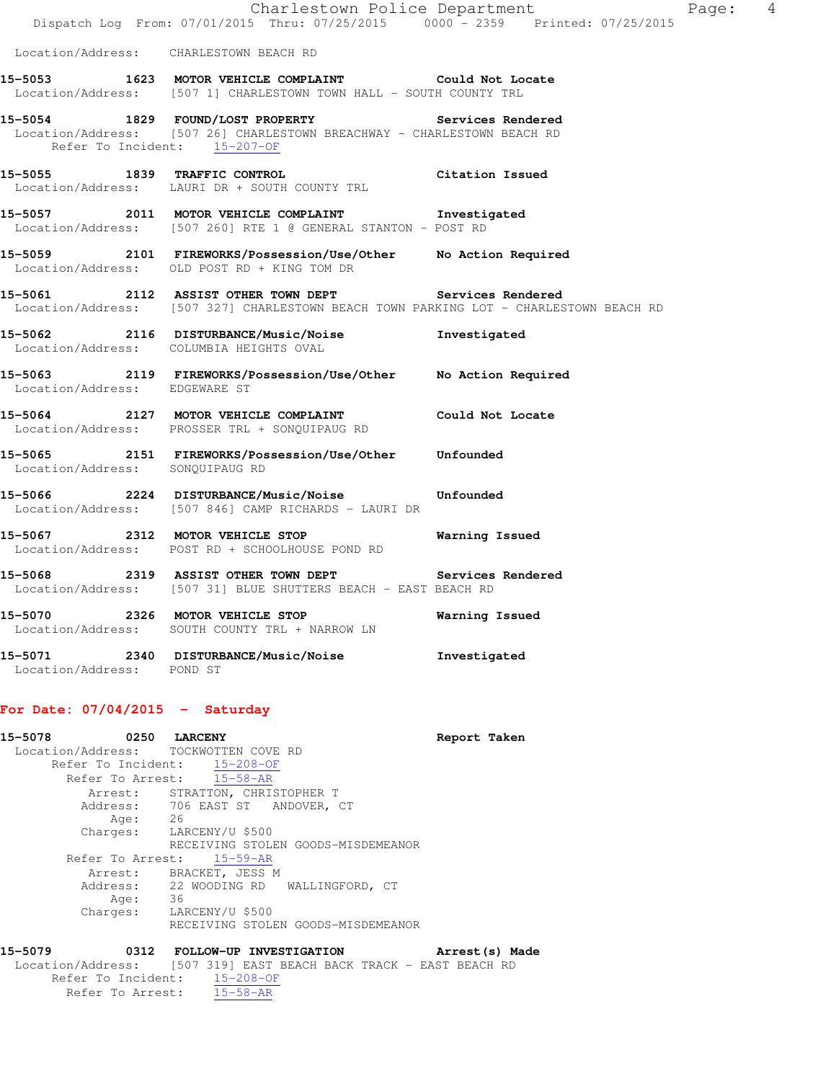|                                 | Charlestown Police Department<br>Dispatch Log From: 07/01/2015 Thru: 07/25/2015 0000 - 2359 Printed: 07/25/2015                                |                |
|---------------------------------|------------------------------------------------------------------------------------------------------------------------------------------------|----------------|
|                                 | Location/Address: CHARLESTOWN BEACH RD                                                                                                         |                |
|                                 | 15-5053 1623 MOTOR VEHICLE COMPLAINT Could Not Locate<br>Location/Address: [507 1] CHARLESTOWN TOWN HALL - SOUTH COUNTY TRL                    |                |
| Refer To Incident: 15-207-OF    | 15-5054 1829 FOUND/LOST PROPERTY Services Rendered<br>Location/Address: [507 26] CHARLESTOWN BREACHWAY - CHARLESTOWN BEACH RD                  |                |
|                                 | 15-5055 1839 TRAFFIC CONTROL CONTROL Citation Issued<br>Location/Address: LAURI DR + SOUTH COUNTY TRL                                          |                |
|                                 | 15-5057 2011 MOTOR VEHICLE COMPLAINT 1nvestigated<br>Location/Address: [507 260] RTE 1 @ GENERAL STANTON - POST RD                             |                |
|                                 | 15-5059 2101 FIREWORKS/Possession/Use/Other No Action Required<br>Location/Address: OLD POST RD + KING TOM DR                                  |                |
|                                 | 15-5061 2112 ASSIST OTHER TOWN DEPT Services Rendered<br>Location/Address: [507 327] CHARLESTOWN BEACH TOWN PARKING LOT - CHARLESTOWN BEACH RD |                |
|                                 | 15-5062 2116 DISTURBANCE/Music/Noise Investigated<br>Location/Address: COLUMBIA HEIGHTS OVAL                                                   |                |
| Location/Address: EDGEWARE ST   | 15-5063 2119 FIREWORKS/Possession/Use/Other No Action Required                                                                                 |                |
|                                 | 15-5064 2127 MOTOR VEHICLE COMPLAINT Could Not Locate<br>Location/Address: PROSSER TRL + SONQUIPAUG RD                                         |                |
| Location/Address: SONQUIPAUG RD | 15-5065  2151 FIREWORKS/Possession/Use/Other  Unfounded                                                                                        |                |
|                                 | 15-5066  2224 DISTURBANCE/Music/Noise  Unfounded<br>Location/Address: [507 846] CAMP RICHARDS - LAURI DR                                       |                |
|                                 | 15-5067 2312 MOTOR VEHICLE STOP<br>Location/Address: POST RD + SCHOOLHOUSE POND RD                                                             | Warning Issued |
|                                 | 15-5068 2319 ASSIST OTHER TOWN DEPT Services Rendered<br>Location/Address: [507 31] BLUE SHUTTERS BEACH - EAST BEACH RD                        |                |
|                                 | 15-5070 2326 MOTOR VEHICLE STOP<br>Location/Address: SOUTH COUNTY TRL + NARROW LN                                                              | Warning Issued |

Page: 4

**15-5071 2340 DISTURBANCE/Music/Noise Investigated**  Location/Address: POND ST

# **For Date: 07/04/2015 - Saturday**

| 15-5078 |            | 0250 LARCENY                           | Report Taken |  |
|---------|------------|----------------------------------------|--------------|--|
|         |            | Location/Address: TOCKWOTTEN COVE RD   |              |  |
|         |            | Refer To Incident: 15-208-OF           |              |  |
|         |            | Refer To Arrest: 15-58-AR              |              |  |
|         |            | Arrest: STRATTON, CHRISTOPHER T        |              |  |
|         |            | Address: 706 EAST ST ANDOVER, CT       |              |  |
|         | 26<br>Age: |                                        |              |  |
|         | Charges:   | LARCENY/U \$500                        |              |  |
|         |            | RECEIVING STOLEN GOODS-MISDEMEANOR     |              |  |
|         |            | Refer To Arrest: 15-59-AR              |              |  |
|         |            | Arrest: BRACKET, JESS M                |              |  |
|         |            | Address: 22 WOODING RD WALLINGFORD, CT |              |  |
|         | 36<br>Age: |                                        |              |  |
|         | Charges:   | LARCENY/U \$500                        |              |  |
|         |            | RECEIVING STOLEN GOODS-MISDEMEANOR     |              |  |
|         |            |                                        |              |  |

**15-5079 0312 FOLLOW-UP INVESTIGATION Arrest(s) Made**  Location/Address: [507 319] EAST BEACH BACK TRACK - EAST BEACH RD Refer To Incident: 15-208-OF Refer To Arrest: 15-58-AR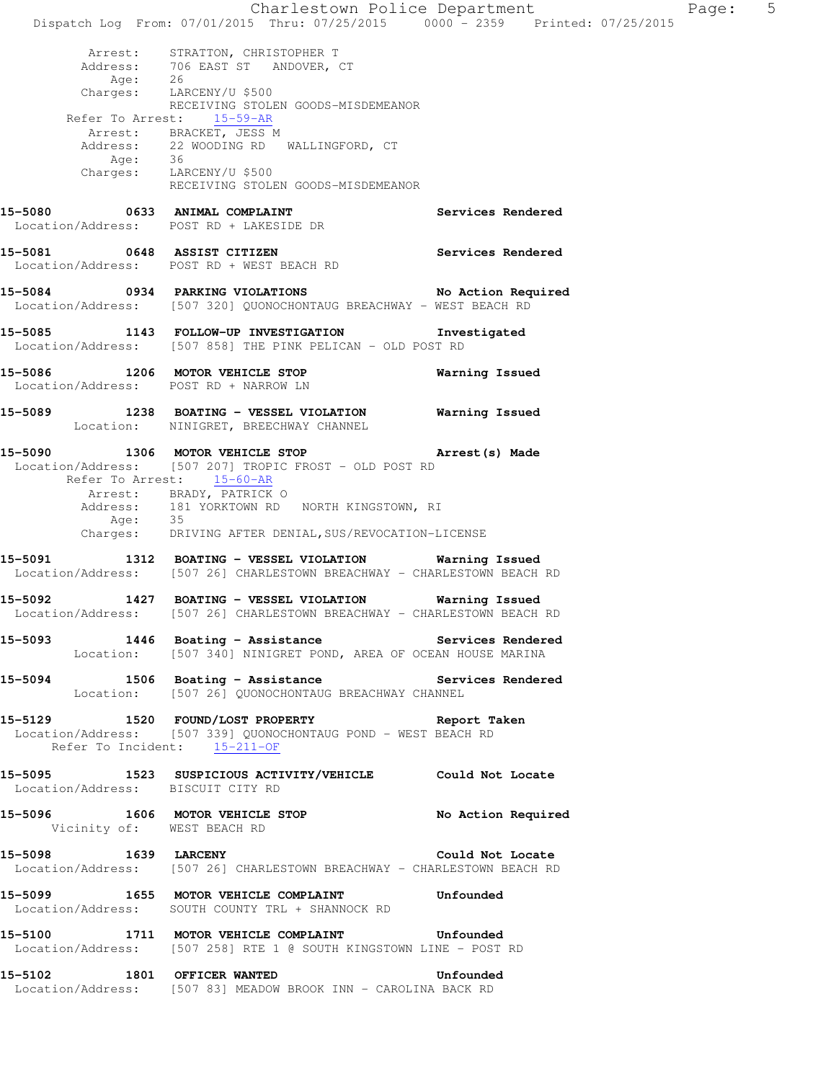Charlestown Police Department Page: 5 Dispatch Log From: 07/01/2015 Thru: 07/25/2015 0000 - 2359 Printed: 07/25/2015 Arrest: STRATTON, CHRISTOPHER T Address: 706 EAST ST ANDOVER, CT Age: 26 Charges: LARCENY/U \$500 RECEIVING STOLEN GOODS-MISDEMEANOR Refer To Arrest: 15-59-AR Arrest: BRACKET, JESS M Address: 22 WOODING RD WALLINGFORD, CT Age: 36 Charges: LARCENY/U \$500 RECEIVING STOLEN GOODS-MISDEMEANOR 15-5080 **0633 ANIMAL COMPLAINT 15-5080** Services Rendered Location/Address: POST RD + LAKESIDE DR **15-5081 0648 ASSIST CITIZEN Services Rendered**  Location/Address: POST RD + WEST BEACH RD **15-5084 0934 PARKING VIOLATIONS No Action Required**  Location/Address: [507 320] QUONOCHONTAUG BREACHWAY - WEST BEACH RD **15-5085 1143 FOLLOW-UP INVESTIGATION Investigated**  Location/Address: [507 858] THE PINK PELICAN - OLD POST RD **15-5086 1206 MOTOR VEHICLE STOP Warning Issued**  Location/Address: POST RD + NARROW LN **15-5089 1238 BOATING - VESSEL VIOLATION Warning Issued**  Location: NINIGRET, BREECHWAY CHANNEL **15-5090 1306 MOTOR VEHICLE STOP Arrest(s) Made**  Location/Address: [507 207] TROPIC FROST - OLD POST RD Refer To Arrest: 15-60-AR Arrest: BRADY, PATRICK O Address: 181 YORKTOWN RD NORTH KINGSTOWN, RI<br>Age: 35 Age: Charges: DRIVING AFTER DENIAL,SUS/REVOCATION-LICENSE **15-5091 1312 BOATING - VESSEL VIOLATION Warning Issued**  Location/Address: [507 26] CHARLESTOWN BREACHWAY - CHARLESTOWN BEACH RD **15-5092 1427 BOATING - VESSEL VIOLATION Warning Issued**  Location/Address: [507 26] CHARLESTOWN BREACHWAY - CHARLESTOWN BEACH RD 15-5093 1446 Boating - Assistance **Services Rendered** Location: [507 340] NINIGRET POND, AREA OF OCEAN HOUSE MARINA **15-5094 1506 Boating - Assistance Services Rendered**  Location: [507 26] QUONOCHONTAUG BREACHWAY CHANNEL **15-5129 1520 FOUND/LOST PROPERTY Report Taken**  Location/Address: [507 339] QUONOCHONTAUG POND - WEST BEACH RD<br>Refer To Incident: 15-211-OF Refer To Incident: **15-5095 1523 SUSPICIOUS ACTIVITY/VEHICLE Could Not Locate**  Location/Address: BISCUIT CITY RD **15-5096 1606 MOTOR VEHICLE STOP No Action Required**  Vicinity of: WEST BEACH RD **15-5098 1639 LARCENY Could Not Locate**  Location/Address: [507 26] CHARLESTOWN BREACHWAY - CHARLESTOWN BEACH RD **15-5099 1655 MOTOR VEHICLE COMPLAINT Unfounded**  Location/Address: SOUTH COUNTY TRL + SHANNOCK RD **15-5100 1711 MOTOR VEHICLE COMPLAINT Unfounded**  Location/Address: [507 258] RTE 1 @ SOUTH KINGSTOWN LINE - POST RD **15-5102 1801 OFFICER WANTED Unfounded**  Location/Address: [507 83] MEADOW BROOK INN - CAROLINA BACK RD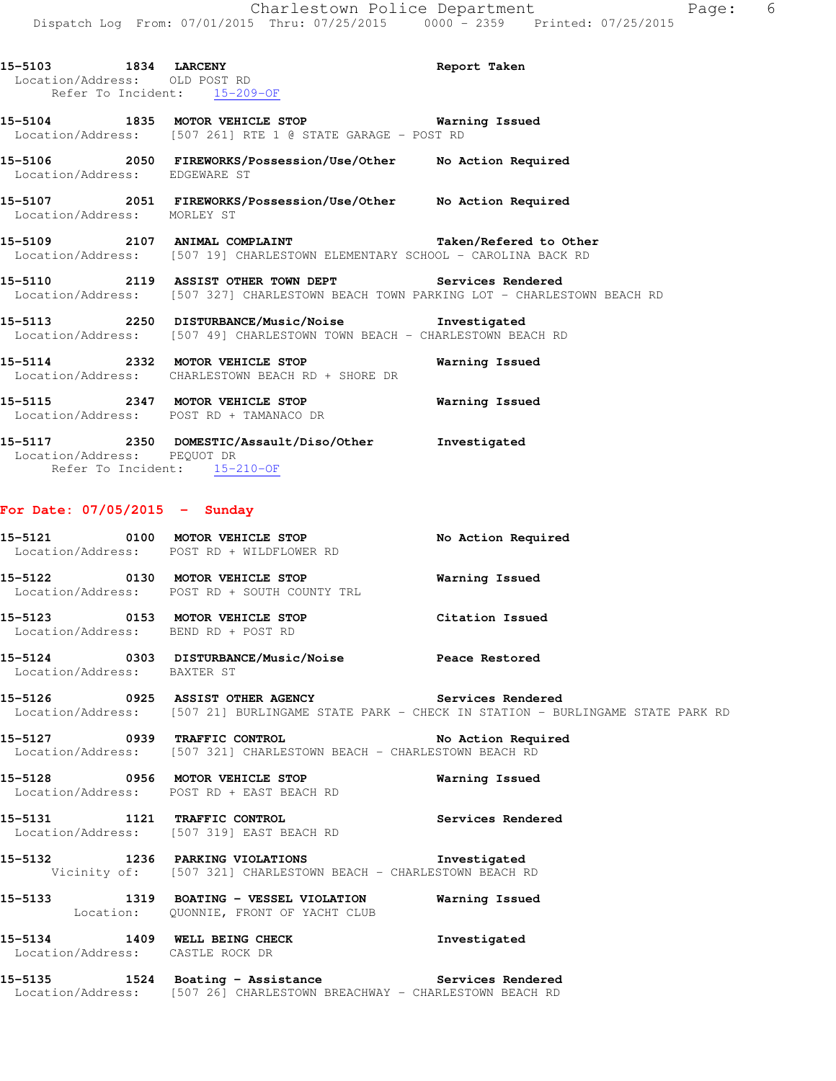| 15-5103 1834 LARCENY<br>Location/Address: OLD POST RD | Refer To Incident: 15-209-OF                                                                                                                   | Report Taken |
|-------------------------------------------------------|------------------------------------------------------------------------------------------------------------------------------------------------|--------------|
|                                                       | 15-5104 1835 MOTOR VEHICLE STOP <b>Exam Example 18</b> Warning Issued<br>Location/Address: [507 261] RTE 1 @ STATE GARAGE - POST RD            |              |
| Location/Address: EDGEWARE ST                         | 15-5106 			 2050 FIREWORKS/Possession/Use/Other No Action Required                                                                             |              |
| Location/Address: MORLEY ST                           | 15-5107 2051 FIREWORKS/Possession/Use/Other No Action Required                                                                                 |              |
|                                                       | 15-5109 2107 ANIMAL COMPLAINT 1999 7aken/Refered to Other<br>Location/Address: [507 19] CHARLESTOWN ELEMENTARY SCHOOL - CAROLINA BACK RD       |              |
|                                                       | 15-5110 2119 ASSIST OTHER TOWN DEPT Services Rendered<br>Location/Address: [507 327] CHARLESTOWN BEACH TOWN PARKING LOT - CHARLESTOWN BEACH RD |              |
|                                                       | 15-5113 2250 DISTURBANCE/Music/Noise 1nvestigated<br>Location/Address: [507 49] CHARLESTOWN TOWN BEACH - CHARLESTOWN BEACH RD                  |              |
|                                                       | 15-5114 2332 MOTOR VEHICLE STOP 6 Warning Issued<br>Location/Address: CHARLESTOWN BEACH RD + SHORE DR                                          |              |
|                                                       | 15-5115 2347 MOTOR VEHICLE STOP 6 Warning Issued<br>Location/Address: POST RD + TAMANACO DR                                                    |              |
|                                                       | $15.5117$ $0.250$ $0.050$ $0.00000776$ $(0.00016)$ $(0.0011)$ $(0.0011)$ $(0.0011)$ $(0.0001)$                                                 |              |

**15-5117 2350 DOMESTIC/Assault/Diso/Other Investigated**  Location/Address: PEQUOT DR Refer To Incident: 15-210-OF

#### **For Date: 07/05/2015 - Sunday**

- **15-5121 0100 MOTOR VEHICLE STOP No Action Required**  Location/Address: POST RD + WILDFLOWER RD **15-5122 0130 MOTOR VEHICLE STOP Warning Issued**  Location/Address: POST RD + SOUTH COUNTY TRL **15-5123 0153 MOTOR VEHICLE STOP Citation Issued**  Location/Address: BEND RD + POST RD
- **15-5124 0303 DISTURBANCE/Music/Noise Peace Restored**  Location/Address: BAXTER ST
- **15-5126 0925 ASSIST OTHER AGENCY Services Rendered**  Location/Address: [507 21] BURLINGAME STATE PARK - CHECK IN STATION - BURLINGAME STATE PARK RD

**15-5127 0939 TRAFFIC CONTROL No Action Required**  Location/Address: [507 321] CHARLESTOWN BEACH - CHARLESTOWN BEACH RD

**15-5128 0956 MOTOR VEHICLE STOP Warning Issued**  Location/Address: POST RD + EAST BEACH RD

**15-5131 1121 TRAFFIC CONTROL Services Rendered**  Location/Address: [507 319] EAST BEACH RD

**15-5132 1236 PARKING VIOLATIONS Investigated**  Vicinity of: [507 321] CHARLESTOWN BEACH - CHARLESTOWN BEACH RD

**15-5133 1319 BOATING - VESSEL VIOLATION Warning Issued**  Location: QUONNIE, FRONT OF YACHT CLUB

**15-5134 1409 WELL BEING CHECK Investigated**  Location/Address: CASTLE ROCK DR

**15-5135 1524 Boating - Assistance Services Rendered**  Location/Address: [507 26] CHARLESTOWN BREACHWAY - CHARLESTOWN BEACH RD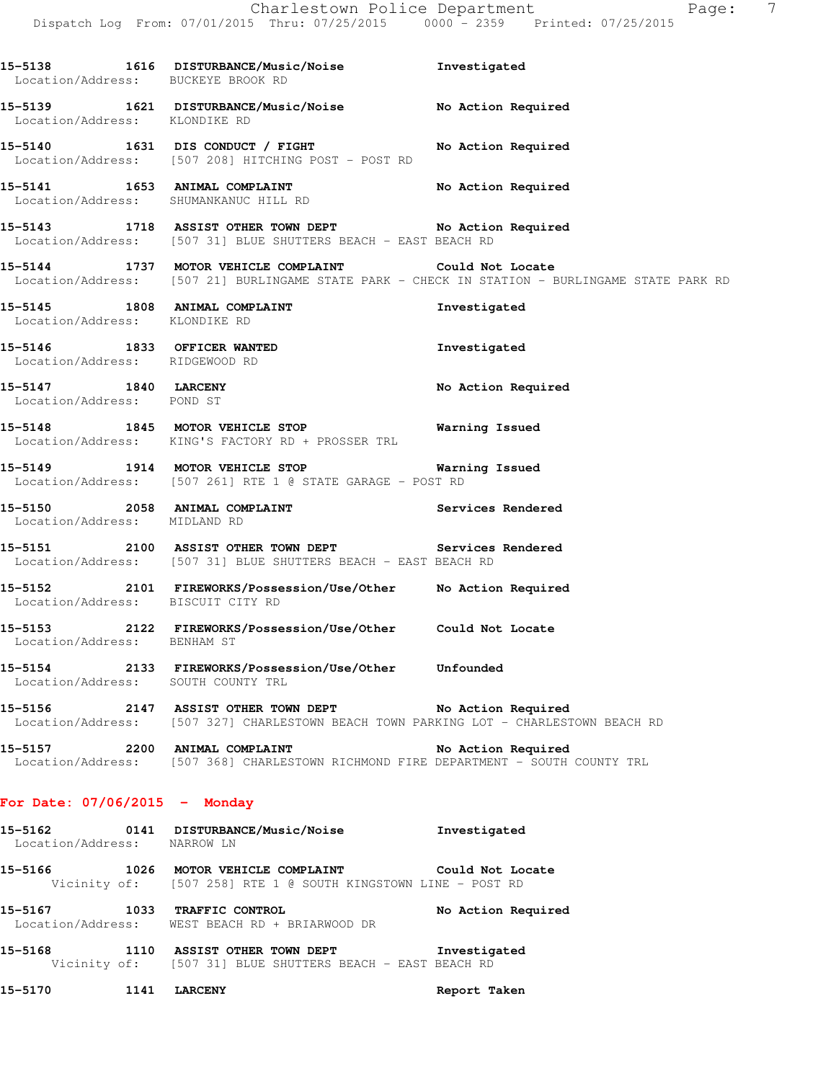**15-5138 1616 DISTURBANCE/Music/Noise Investigated**  Location/Address: BUCKEYE BROOK RD **15-5139 1621 DISTURBANCE/Music/Noise No Action Required**  Location/Address: KLONDIKE RD **15-5140 1631 DIS CONDUCT / FIGHT No Action Required**  Location/Address: [507 208] HITCHING POST - POST RD **15-5141 1653 ANIMAL COMPLAINT No Action Required**  Location/Address: SHUMANKANUC HILL RD **15-5143 1718 ASSIST OTHER TOWN DEPT No Action Required**  Location/Address: [507 31] BLUE SHUTTERS BEACH - EAST BEACH RD **15-5144 1737 MOTOR VEHICLE COMPLAINT Could Not Locate**  Location/Address: [507 21] BURLINGAME STATE PARK - CHECK IN STATION - BURLINGAME STATE PARK RD **15-5145 1808 ANIMAL COMPLAINT Investigated**  Location/Address: KLONDIKE RD **15-5146 1833 OFFICER WANTED Investigated**  Location/Address: RIDGEWOOD RD **15-5147 1840 LARCENY No Action Required**  Location/Address: POND ST **15-5148 1845 MOTOR VEHICLE STOP Warning Issued**  Location/Address: KING'S FACTORY RD + PROSSER TRL **15-5149 1914 MOTOR VEHICLE STOP Warning Issued**  Location/Address: [507 261] RTE 1 @ STATE GARAGE - POST RD **15-5150 2058 ANIMAL COMPLAINT Services Rendered**  Location/Address: MIDLAND RD **15-5151 2100 ASSIST OTHER TOWN DEPT Services Rendered**  Location/Address: [507 31] BLUE SHUTTERS BEACH - EAST BEACH RD **15-5152 2101 FIREWORKS/Possession/Use/Other No Action Required**  Location/Address: BISCUIT CITY RD **15-5153 2122 FIREWORKS/Possession/Use/Other Could Not Locate**  Location/Address: BENHAM ST **15-5154 2133 FIREWORKS/Possession/Use/Other Unfounded**  Location/Address: SOUTH COUNTY TRL **15-5156 2147 ASSIST OTHER TOWN DEPT No Action Required**  Location/Address: [507 327] CHARLESTOWN BEACH TOWN PARKING LOT - CHARLESTOWN BEACH RD **15-5157 2200 ANIMAL COMPLAINT No Action Required**  Location/Address: [507 368] CHARLESTOWN RICHMOND FIRE DEPARTMENT - SOUTH COUNTY TRL **For Date: 07/06/2015 - Monday 15-5162 0141 DISTURBANCE/Music/Noise Investigated**  Location/Address: NARROW LN

**15-5166 1026 MOTOR VEHICLE COMPLAINT Could Not Locate**  Vicinity of: [507 258] RTE 1 @ SOUTH KINGSTOWN LINE - POST RD

**15-5167 1033 TRAFFIC CONTROL No Action Required**  Location/Address: WEST BEACH RD + BRIARWOOD DR

**15-5168 1110 ASSIST OTHER TOWN DEPT Investigated**  Vicinity of: [507 31] BLUE SHUTTERS BEACH - EAST BEACH RD

**15-5170 1141 LARCENY Report Taken**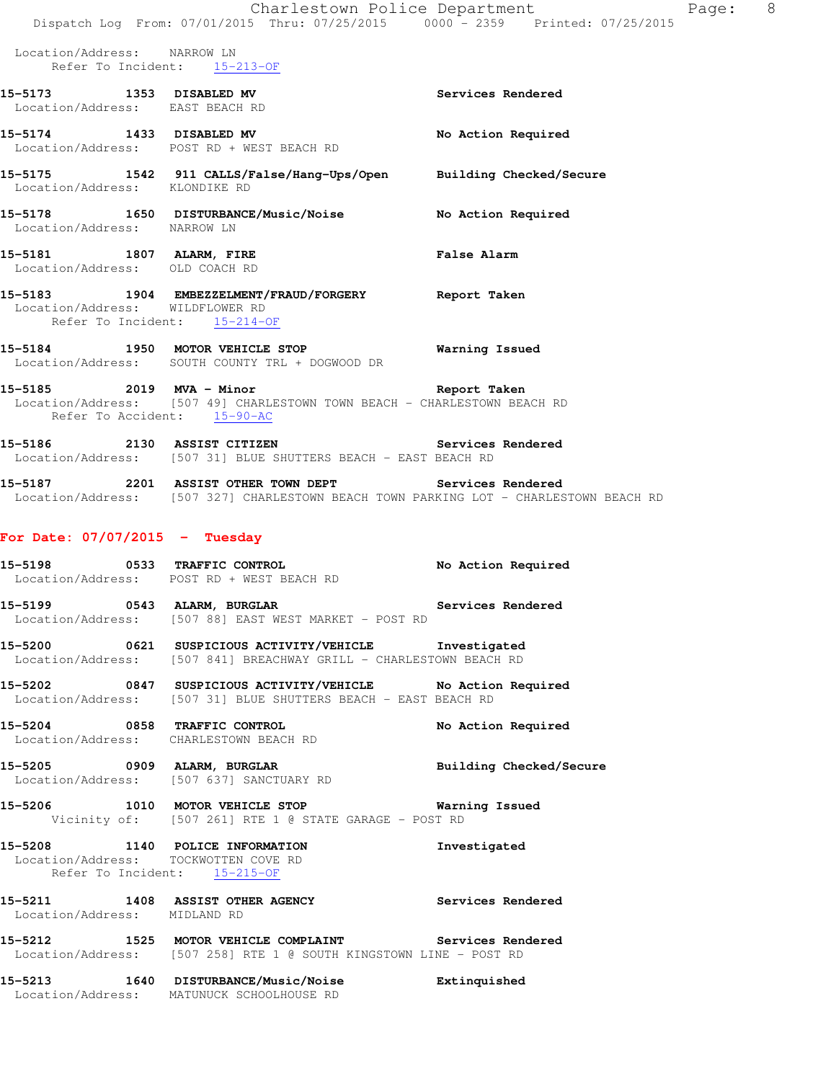|                                  | Charlestown Police Department<br>Dispatch Log From: 07/01/2015 Thru: 07/25/2015 0000 - 2359 Printed: 07/25/2015                                              | P                              |
|----------------------------------|--------------------------------------------------------------------------------------------------------------------------------------------------------------|--------------------------------|
| Location/Address: NARROW LN      | Refer To Incident: 15-213-OF                                                                                                                                 |                                |
|                                  | 15-5173 1353 DISABLED MV<br>Location/Address: EAST BEACH RD                                                                                                  | Services Rendered              |
|                                  | 15-5174 1433 DISABLED MV No Action Required<br>Location/Address: POST RD + WEST BEACH RD                                                                     |                                |
|                                  | 15-5175   1542   911 CALLS/False/Hang-Ups/Open   Building Checked/Secure   Location/Address: KLONDIKE RD                                                     |                                |
|                                  | 15-5178   1650   DISTURBANCE/Music/Noise   No Action Required Location/Address:   NARROW LN                                                                  |                                |
| Location/Address: OLD COACH RD   | 15-5181 1807 ALARM, FIRE                                                                                                                                     | <b>False Alarm</b>             |
| Location/Address: WILDFLOWER RD  | 15-5183 1904 EMBEZZELMENT/FRAUD/FORGERY Report Taken<br>Refer To Incident: 15-214-OF                                                                         |                                |
|                                  | 15-5184 1950 MOTOR VEHICLE STOP 6 Warning Issued<br>Location/Address: SOUTH COUNTY TRL + DOGWOOD DR                                                          |                                |
|                                  | 15-5185 2019 MVA - Minor Changes and Report Taken<br>Location/Address: [507 49] CHARLESTOWN TOWN BEACH - CHARLESTOWN BEACH RD<br>Refer To Accident: 15-90-AC |                                |
|                                  | 15-5186 2130 ASSIST CITIZEN Services Rendered<br>Location/Address: [507 31] BLUE SHUTTERS BEACH - EAST BEACH RD                                              |                                |
|                                  | 15-5187 2201 ASSIST OTHER TOWN DEPT Services Rendered<br>Location/Address: [507 327] CHARLESTOWN BEACH TOWN PARKING LOT - CHARLESTOWN BEACH RD               |                                |
| For Date: $07/07/2015$ - Tuesday |                                                                                                                                                              |                                |
|                                  | 15-5198 0533 TRAFFIC CONTROL<br>Location/Address: POST RD + WEST BEACH RD                                                                                    | No Action Required             |
|                                  | 15-5199 0543 ALARM, BURGLAR<br>Location/Address: [507 88] EAST WEST MARKET - POST RD                                                                         | Services Rendered              |
|                                  | 15-5200 0621 SUSPICIOUS ACTIVITY/VEHICLE Investigated<br>Location/Address: [507 841] BREACHWAY GRILL - CHARLESTOWN BEACH RD                                  |                                |
|                                  | 15-5202 0847 SUSPICIOUS ACTIVITY/VEHICLE No Action Required<br>Location/Address: [507 31] BLUE SHUTTERS BEACH - EAST BEACH RD                                |                                |
|                                  | 15-5204 0858 TRAFFIC CONTROL<br>Location/Address: CHARLESTOWN BEACH RD                                                                                       | No Action Required             |
|                                  | 15-5205 0909 ALARM, BURGLAR<br>Location/Address: [507 637] SANCTUARY RD                                                                                      | <b>Building Checked/Secure</b> |
|                                  | 15-5206 1010 MOTOR VEHICLE STOP 6 Warning Issued<br>Vicinity of: [507 261] RTE 1 @ STATE GARAGE - POST RD                                                    |                                |
|                                  | 15-5208 1140 POLICE INFORMATION<br>Location/Address: TOCKWOTTEN COVE RD<br>Refer To Incident: 15-215-OF                                                      | Investigated                   |
| Location/Address: MIDLAND RD     | 15-5211 1408 ASSIST OTHER AGENCY Services Rendered                                                                                                           |                                |
|                                  | 15-5212 1525 MOTOR VEHICLE COMPLAINT Services Rendered<br>Location/Address: [507 258] RTE 1 @ SOUTH KINGSTOWN LINE - POST RD                                 |                                |
|                                  | 15-5213 1640 DISTURBANCE/Music/Noise Extinquished<br>Location/Address: MATUNUCK SCHOOLHOUSE RD                                                               |                                |

age: 8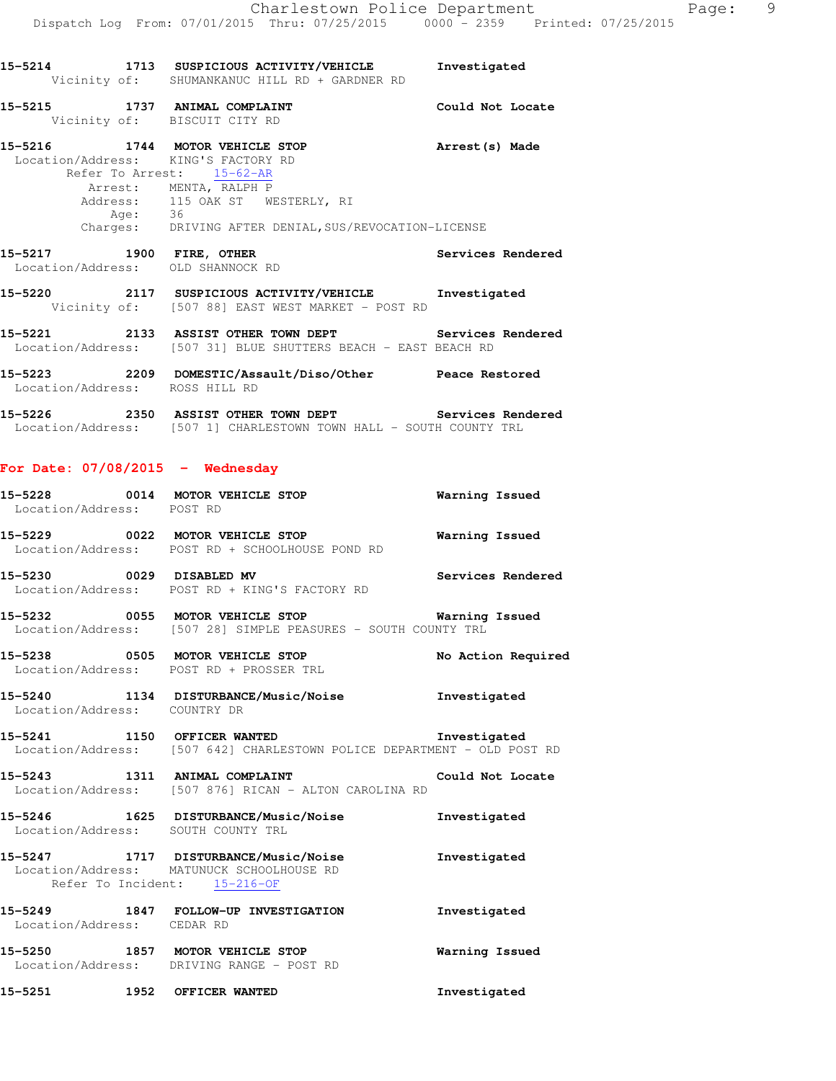**15-5214 1713 SUSPICIOUS ACTIVITY/VEHICLE Investigated** 

Vicinity of: SHUMANKANUC HILL RD + GARDNER RD

|                                    | 15-5215 1737 ANIMAL COMPLAINT<br>Vicinity of: BISCUIT CITY RD                                                                                                                                                                                                | Could Not Locate      |
|------------------------------------|--------------------------------------------------------------------------------------------------------------------------------------------------------------------------------------------------------------------------------------------------------------|-----------------------|
|                                    | 15-5216 1744 MOTOR VEHICLE STOP 15-5216 Arrest (s) Made<br>Location/Address: KING'S FACTORY RD<br>Refer To Arrest: 15-62-AR<br>Arrest: MENTA, RALPH P<br>Address: 115 OAK ST WESTERLY, RI<br>Age: 36<br>Charges: DRIVING AFTER DENIAL,SUS/REVOCATION-LICENSE |                       |
|                                    | 15-5217 1900 FIRE, OTHER<br>Location/Address: OLD SHANNOCK RD                                                                                                                                                                                                | Services Rendered     |
|                                    | 15-5220 2117 SUSPICIOUS ACTIVITY/VEHICLE Investigated<br>Vicinity of: [507 88] EAST WEST MARKET - POST RD                                                                                                                                                    |                       |
|                                    | 15-5221 2133 ASSIST OTHER TOWN DEPT Services Rendered Location/Address: [507 31] BLUE SHUTTERS BEACH - EAST BEACH RD                                                                                                                                         |                       |
| Location/Address: ROSS HILL RD     | 15-5223 2209 DOMESTIC/Assault/Diso/Other Peace Restored                                                                                                                                                                                                      |                       |
|                                    | 15-5226 2350 ASSIST OTHER TOWN DEPT Services Rendered<br>Location/Address: [507 1] CHARLESTOWN TOWN HALL - SOUTH COUNTY TRL                                                                                                                                  |                       |
| For Date: $07/08/2015$ - Wednesday |                                                                                                                                                                                                                                                              |                       |
| Location/Address: POST RD          | 15-5228 0014 MOTOR VEHICLE STOP                                                                                                                                                                                                                              | <b>Warning Issued</b> |
|                                    | 15-5229 0022 MOTOR VEHICLE STOP<br>Location/Address: POST RD + SCHOOLHOUSE POND RD                                                                                                                                                                           | <b>Warning Issued</b> |
|                                    | 15-5230 0029 DISABLED MV<br>Location/Address: POST RD + KING'S FACTORY RD                                                                                                                                                                                    | Services Rendered     |
|                                    | Location/Address: [507 28] SIMPLE PEASURES - SOUTH COUNTY TRL                                                                                                                                                                                                |                       |
|                                    | 15-5238 0505 MOTOR VEHICLE STOP<br>Location/Address: POST RD + PROSSER TRL                                                                                                                                                                                   | No Action Required    |
| Location/Address: COUNTRY DR       | 15-5240 1134 DISTURBANCE/Music/Noise                                                                                                                                                                                                                         | Investigated          |
|                                    | 15-5241 1150 OFFICER WANTED 10-BEARD TRINGERIGATED<br>Location/Address: [507 642] CHARLESTOWN POLICE DEPARTMENT - OLD POST RD                                                                                                                                |                       |
|                                    | 15-5243 1311 ANIMAL COMPLAINT<br>Location/Address: [507 876] RICAN - ALTON CAROLINA RD                                                                                                                                                                       | Could Not Locate      |
|                                    | 15-5246 1625 DISTURBANCE/Music/Noise<br>Location/Address: SOUTH COUNTY TRL                                                                                                                                                                                   | Investigated          |
|                                    | 15-5247 1717 DISTURBANCE/Music/Noise<br>Location/Address: MATUNUCK SCHOOLHOUSE RD<br>Refer To Incident: 15-216-OF                                                                                                                                            | Investigated          |
| Location/Address: CEDAR RD         | 15-5249 1847 FOLLOW-UP INVESTIGATION                                                                                                                                                                                                                         | Investigated          |
|                                    | 15-5250 1857 MOTOR VEHICLE STOP<br>Location/Address: DRIVING RANGE - POST RD                                                                                                                                                                                 | Warning Issued        |
| 15-5251                            | 1952 OFFICER WANTED                                                                                                                                                                                                                                          | Investigated          |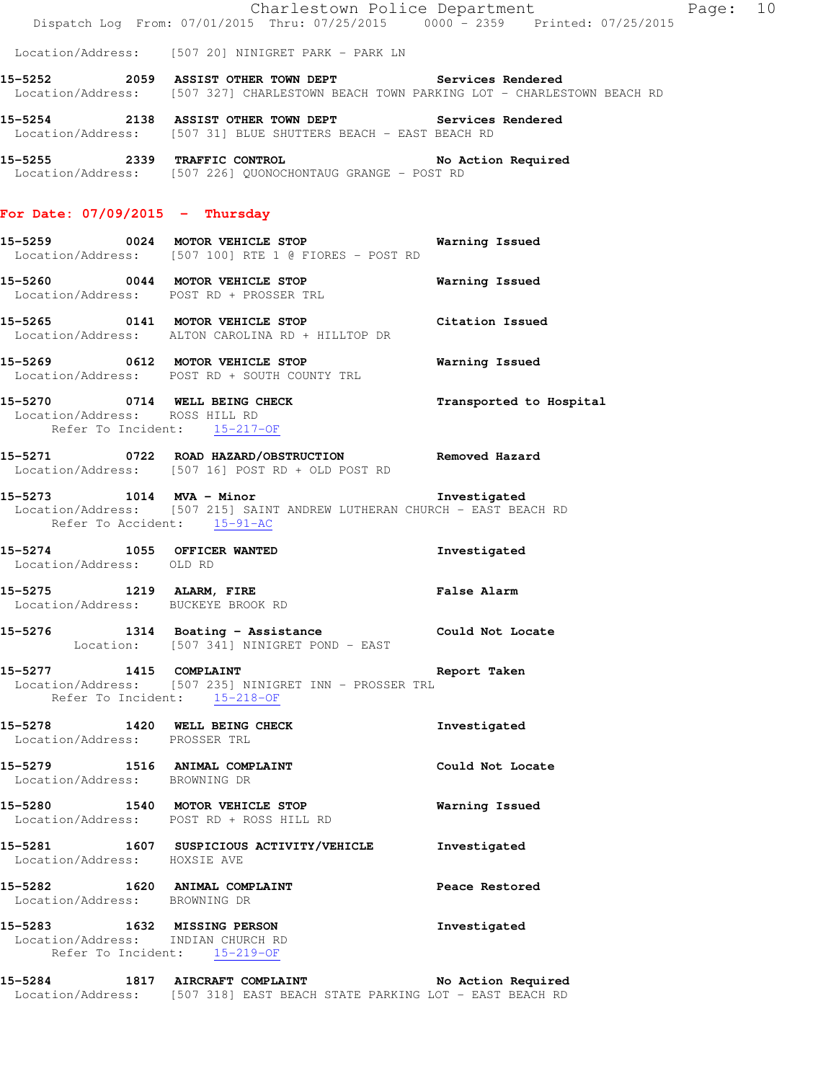Charlestown Police Department Fage: 10 Dispatch Log From: 07/01/2015 Thru: 07/25/2015 0000 - 2359 Printed: 07/25/2015

Location/Address: [507 20] NINIGRET PARK - PARK LN

**15-5252 2059 ASSIST OTHER TOWN DEPT Services Rendered**  Location/Address: [507 327] CHARLESTOWN BEACH TOWN PARKING LOT - CHARLESTOWN BEACH RD

**15-5254 2138 ASSIST OTHER TOWN DEPT Services Rendered**  Location/Address: [507 31] BLUE SHUTTERS BEACH - EAST BEACH RD

**15-5255 2339 TRAFFIC CONTROL No Action Required**  Location/Address: [507 226] QUONOCHONTAUG GRANGE - POST RD

#### **For Date: 07/09/2015 - Thursday**

- **15-5259 0024 MOTOR VEHICLE STOP Warning Issued**  Location/Address: [507 100] RTE 1 @ FIORES - POST RD
- **15-5260 0044 MOTOR VEHICLE STOP Warning Issued**  Location/Address: POST RD + PROSSER TRL
- **15-5265 0141 MOTOR VEHICLE STOP Citation Issued**  Location/Address: ALTON CAROLINA RD + HILLTOP DR
- **15-5269 0612 MOTOR VEHICLE STOP Warning Issued**  Location/Address: POST RD + SOUTH COUNTY TRL
- **15-5270 0714 WELL BEING CHECK Transported to Hospital**  Location/Address: ROSS HILL RD Refer To Incident: 15-217-OF
- **15-5271 0722 ROAD HAZARD/OBSTRUCTION Removed Hazard**  Location/Address: [507 16] POST RD + OLD POST RD
- **15-5273 1014 MVA Minor Investigated**  Location/Address: [507 215] SAINT ANDREW LUTHERAN CHURCH - EAST BEACH RD Refer To Accident: 15-91-AC
- **15-5274 1055 OFFICER WANTED Investigated**  Location/Address: OLD RD
- **15-5275 1219 ALARM, FIRE False Alarm**  Location/Address: BUCKEYE BROOK RD
- **15-5276 1314 Boating Assistance Could Not Locate**  Location: [507 341] NINIGRET POND - EAST
- **15-5277 1415 COMPLAINT Report Taken**  Location/Address: [507 235] NINIGRET INN - PROSSER TRL Refer To Incident: 15-218-OF
- **15-5278 1420 WELL BEING CHECK Investigated**  Location/Address: PROSSER TRL
- **15-5279 1516 ANIMAL COMPLAINT Could Not Locate**  Location/Address: BROWNING DR **15-5280 1540 MOTOR VEHICLE STOP Warning Issued**  Location/Address: POST RD + ROSS HILL RD
- **15-5281 1607 SUSPICIOUS ACTIVITY/VEHICLE Investigated**  Location/Address: HOXSIE AVE
- 15-5282 1620 ANIMAL COMPLAINT **Peace Restored** Location/Address: BROWNING DR
- **15-5283 1632 MISSING PERSON Investigated**  Location/Address: INDIAN CHURCH RD Refer To Incident: 15-219-OF
- **15-5284 1817 AIRCRAFT COMPLAINT No Action Required**  Location/Address: [507 318] EAST BEACH STATE PARKING LOT - EAST BEACH RD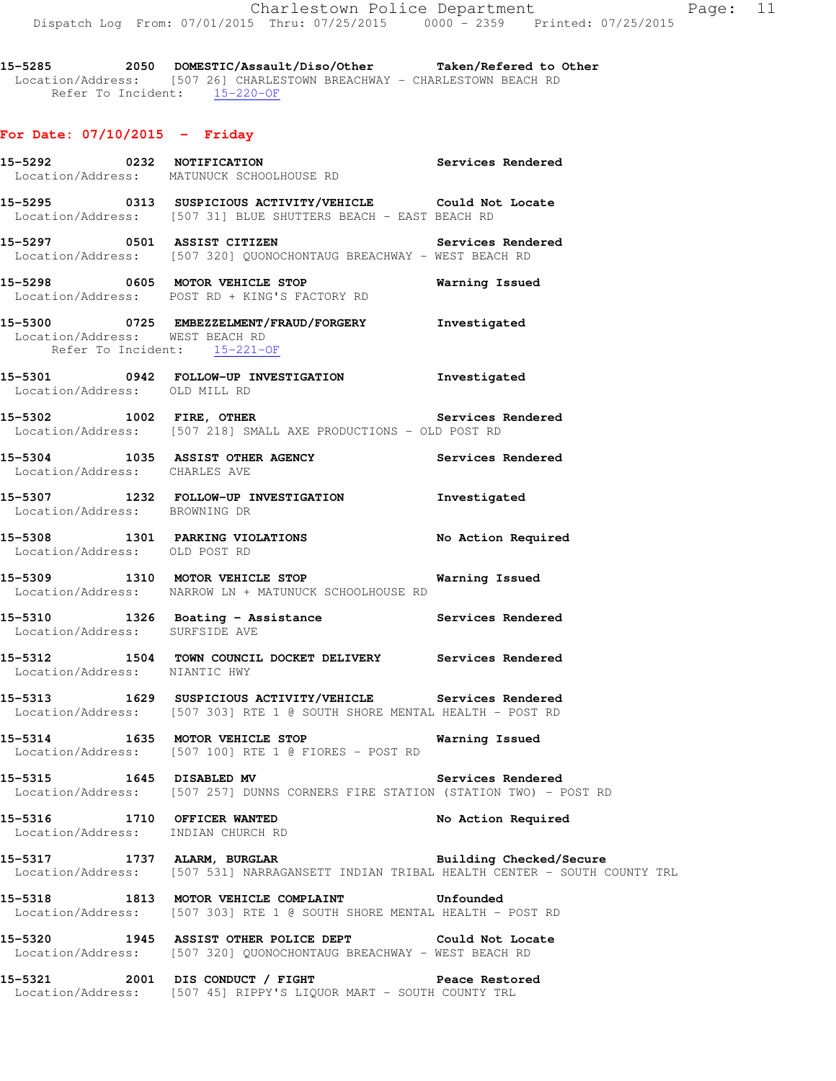**15-5285 2050 DOMESTIC/Assault/Diso/Other Taken/Refered to Other**  Location/Address: [507 26] CHARLESTOWN BREACHWAY - CHARLESTOWN BEACH RD Refer To Incident: 15-220-OF

# **For Date: 07/10/2015 - Friday**

|                               | 15-5292 		 0232 NOTIFICATION 		 Services Rendered<br>Location/Address: MATUNUCK SCHOOLHOUSE RD                                        |                         |
|-------------------------------|---------------------------------------------------------------------------------------------------------------------------------------|-------------------------|
|                               | 15-5295 0313 SUSPICIOUS ACTIVITY/VEHICLE Could Not Locate<br>Location/Address: [507 31] BLUE SHUTTERS BEACH - EAST BEACH RD           |                         |
|                               | 15-5297 0501 ASSIST CITIZEN Services Rendered<br>Location/Address: [507 320] QUONOCHONTAUG BREACHWAY - WEST BEACH RD                  |                         |
|                               | 15-5298 0605 MOTOR VEHICLE STOP<br>Location/Address: POST RD + KING'S FACTORY RD                                                      | Warning Issued          |
|                               | 15-5300 0725 EMBEZZELMENT/FRAUD/FORGERY Investigated<br>Location/Address: WEST BEACH RD<br>Refer To Incident: 15-221-OF               |                         |
| Location/Address: OLD MILL RD | 15-5301 0942 FOLLOW-UP INVESTIGATION Investigated                                                                                     |                         |
|                               | 15-5302 1002 FIRE, OTHER 2008 2010 Services Rendered<br>Location/Address: [507 218] SMALL AXE PRODUCTIONS - OLD POST RD               |                         |
| Location/Address: CHARLES AVE | 15-5304 1035 ASSIST OTHER AGENCY Services Rendered                                                                                    |                         |
| Location/Address: BROWNING DR | 15-5307 1232 FOLLOW-UP INVESTIGATION Investigated                                                                                     |                         |
| Location/Address: OLD POST RD | 15-5308 1301 PARKING VIOLATIONS No Action Required                                                                                    |                         |
|                               | 15-5309 1310 MOTOR VEHICLE STOP<br>Location/Address: NARROW LN + MATUNUCK SCHOOLHOUSE RD                                              | <b>Warning Issued</b>   |
|                               | 15-5310 1326 Boating - Assistance Services Rendered Location/Address: SURFSIDE AVE                                                    |                         |
| Location/Address: NIANTIC HWY | 15-5312 1504 TOWN COUNCIL DOCKET DELIVERY Services Rendered                                                                           |                         |
|                               | 15-5313 1629 SUSPICIOUS ACTIVITY/VEHICLE Services Rendered<br>Location/Address: [507 303] RTE 1 @ SOUTH SHORE MENTAL HEALTH - POST RD |                         |
|                               | 15-5314 1635 MOTOR VEHICLE STOP<br>Location/Address: [507 100] RTE 1 @ FIORES - POST RD                                               | Warning Issued          |
| 15-5315 1645 DISABLED MV      | Location/Address: [507 257] DUNNS CORNERS FIRE STATION (STATION TWO) - POST RD                                                        | Services Rendered       |
|                               | 15-5316 1710 OFFICER WANTED<br>Location/Address: INDIAN CHURCH RD                                                                     | No Action Required      |
|                               | 15-5317 1737 ALARM, BURGLAR<br>Location/Address: [507 531] NARRAGANSETT INDIAN TRIBAL HEALTH CENTER - SOUTH COUNTY TRL                | Building Checked/Secure |
|                               | 15-5318 1813 MOTOR VEHICLE COMPLAINT<br>Location/Address: [507 303] RTE 1 @ SOUTH SHORE MENTAL HEALTH - POST RD                       | Unfounded               |
|                               | 15-5320 1945 ASSIST OTHER POLICE DEPT Could Not Locate<br>Location/Address: [507 320] QUONOCHONTAUG BREACHWAY - WEST BEACH RD         |                         |
| 15-5321                       | 2001 DIS CONDUCT / FIGHT<br>Location/Address: [507 45] RIPPY'S LIQUOR MART - SOUTH COUNTY TRL                                         | Peace Restored          |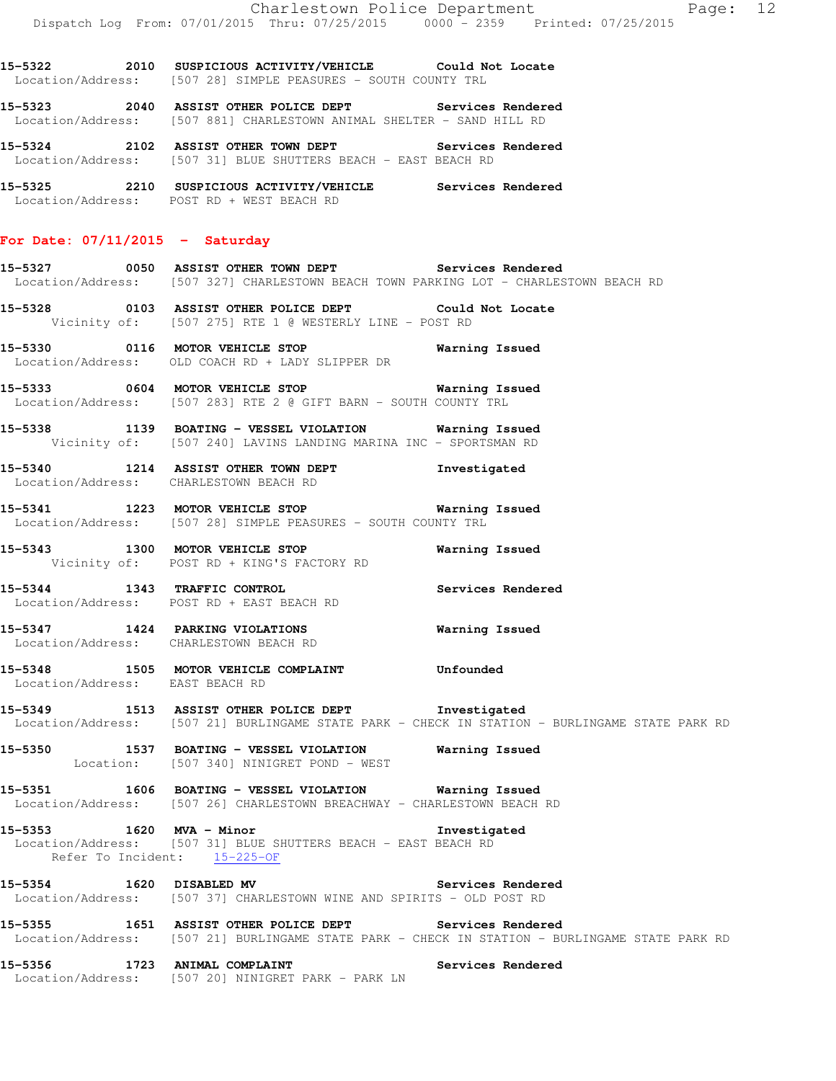**15-5322 2010 SUSPICIOUS ACTIVITY/VEHICLE Could Not Locate**  Location/Address: [507 28] SIMPLE PEASURES - SOUTH COUNTY TRL

**15-5323 2040 ASSIST OTHER POLICE DEPT Services Rendered**  Location/Address: [507 881] CHARLESTOWN ANIMAL SHELTER - SAND HILL RD

**15-5324 2102 ASSIST OTHER TOWN DEPT Services Rendered**  Location/Address: [507 31] BLUE SHUTTERS BEACH - EAST BEACH RD

**15-5325 2210 SUSPICIOUS ACTIVITY/VEHICLE Services Rendered**  Location/Address: POST RD + WEST BEACH RD

#### **For Date: 07/11/2015 - Saturday**

**15-5327 0050 ASSIST OTHER TOWN DEPT Services Rendered**  Location/Address: [507 327] CHARLESTOWN BEACH TOWN PARKING LOT - CHARLESTOWN BEACH RD

**15-5328 0103 ASSIST OTHER POLICE DEPT Could Not Locate**  Vicinity of: [507 275] RTE 1 @ WESTERLY LINE - POST RD

**15-5330 0116 MOTOR VEHICLE STOP Warning Issued**  Location/Address: OLD COACH RD + LADY SLIPPER DR

**15-5333 0604 MOTOR VEHICLE STOP Warning Issued**  Location/Address: [507 283] RTE 2 @ GIFT BARN - SOUTH COUNTY TRL

**15-5338 1139 BOATING - VESSEL VIOLATION Warning Issued**  Vicinity of: [507 240] LAVINS LANDING MARINA INC - SPORTSMAN RD

**15-5340 1214 ASSIST OTHER TOWN DEPT Investigated**  Location/Address: CHARLESTOWN BEACH RD

**15-5341 1223 MOTOR VEHICLE STOP Warning Issued**  Location/Address: [507 28] SIMPLE PEASURES - SOUTH COUNTY TRL

**15-5343 1300 MOTOR VEHICLE STOP Warning Issued**  Vicinity of: POST RD + KING'S FACTORY RD

**15-5344 1343 TRAFFIC CONTROL Services Rendered**  Location/Address: POST RD + EAST BEACH RD

**15-5347 1424 PARKING VIOLATIONS Warning Issued**  Location/Address: CHARLESTOWN BEACH RD

**15-5348 1505 MOTOR VEHICLE COMPLAINT Unfounded**  Location/Address: EAST BEACH RD

**15-5349 1513 ASSIST OTHER POLICE DEPT Investigated**  Location/Address: [507 21] BURLINGAME STATE PARK - CHECK IN STATION - BURLINGAME STATE PARK RD

**15-5350 1537 BOATING - VESSEL VIOLATION Warning Issued**  Location: [507 340] NINIGRET POND - WEST

**15-5351 1606 BOATING - VESSEL VIOLATION Warning Issued**  Location/Address: [507 26] CHARLESTOWN BREACHWAY - CHARLESTOWN BEACH RD

**15-5353 1620 MVA - Minor Investigated**  Location/Address: [507 31] BLUE SHUTTERS BEACH - EAST BEACH RD Refer To Incident: 15-225-OF

**15-5354 1620 DISABLED MV Services Rendered**  Location/Address: [507 37] CHARLESTOWN WINE AND SPIRITS - OLD POST RD

**15-5355 1651 ASSIST OTHER POLICE DEPT Services Rendered**  Location/Address: [507 21] BURLINGAME STATE PARK - CHECK IN STATION - BURLINGAME STATE PARK RD

15-5356 1723 ANIMAL COMPLAINT **15-5356** Services Rendered Location/Address: [507 20] NINIGRET PARK - PARK LN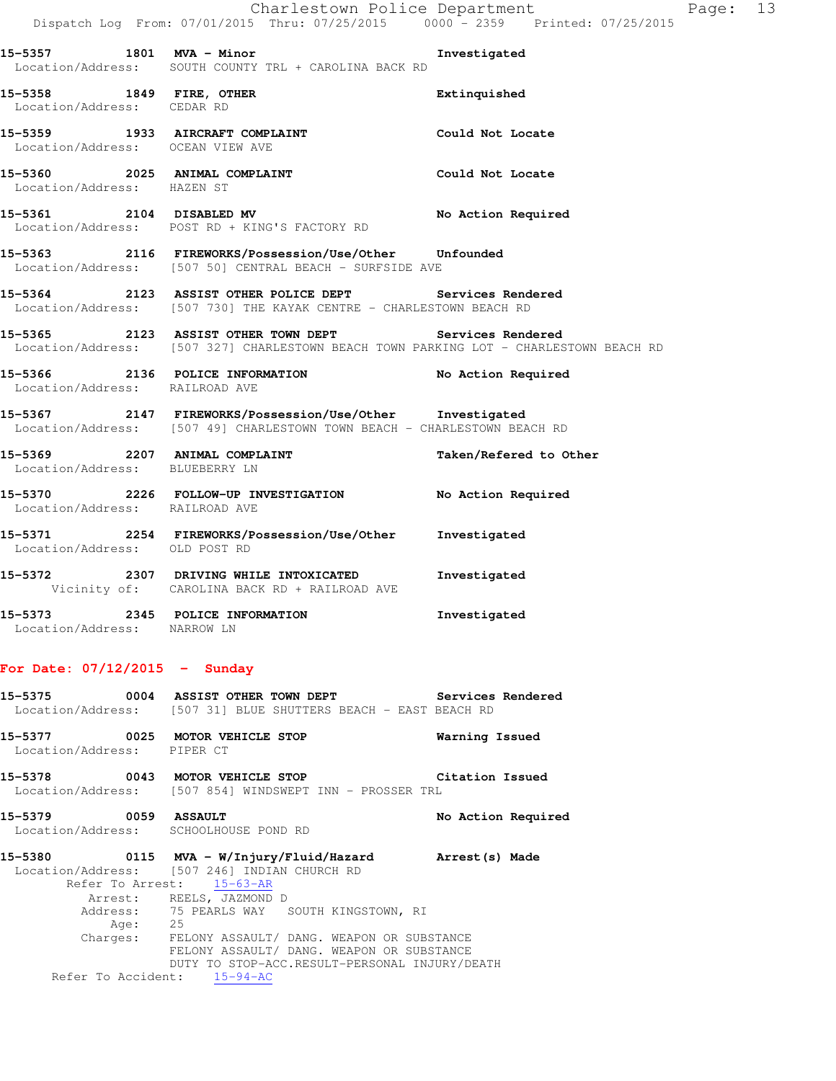|                                                        | Dispatch Log From: 07/01/2015 Thru: 07/25/2015 0000 - 2359 Printed: 07/25/2015                                                                 | Charlestown Police Department | Page: 13 |  |
|--------------------------------------------------------|------------------------------------------------------------------------------------------------------------------------------------------------|-------------------------------|----------|--|
|                                                        | 15-5357 1801 MVA - Minor<br>Location/Address: SOUTH COUNTY TRL + CAROLINA BACK RD                                                              | Investigated                  |          |  |
| 15-5358 1849 FIRE, OTHER<br>Location/Address: CEDAR RD |                                                                                                                                                | Extinquished                  |          |  |
| Location/Address: OCEAN VIEW AVE                       | 15-5359 1933 AIRCRAFT COMPLAINT COULD Not Locate                                                                                               |                               |          |  |
| Location/Address: HAZEN ST                             | 15-5360 2025 ANIMAL COMPLAINT                                                                                                                  | Could Not Locate              |          |  |
|                                                        | 15-5361 2104 DISABLED MV<br>Location/Address: POST RD + KING'S FACTORY RD                                                                      | No Action Required            |          |  |
|                                                        | 15-5363 2116 FIREWORKS/Possession/Use/Other Unfounded<br>Location/Address: [507 50] CENTRAL BEACH - SURFSIDE AVE                               |                               |          |  |
|                                                        | 15-5364 2123 ASSIST OTHER POLICE DEPT Services Rendered<br>Location/Address: [507 730] THE KAYAK CENTRE - CHARLESTOWN BEACH RD                 |                               |          |  |
|                                                        | 15-5365 2123 ASSIST OTHER TOWN DEPT Services Rendered<br>Location/Address: [507 327] CHARLESTOWN BEACH TOWN PARKING LOT - CHARLESTOWN BEACH RD |                               |          |  |
| Location/Address: RAILROAD AVE                         | 15-5366 2136 POLICE INFORMATION                                                                                                                | No Action Required            |          |  |
|                                                        | 15-5367 2147 FIREWORKS/Possession/Use/Other Investigated<br>Location/Address: [507 49] CHARLESTOWN TOWN BEACH - CHARLESTOWN BEACH RD           |                               |          |  |
| Location/Address: BLUEBERRY LN                         | 15-5369 2207 ANIMAL COMPLAINT 1990 12 Taken/Refered to Other                                                                                   |                               |          |  |
| Location/Address: RAILROAD AVE                         | 15-5370 2226 FOLLOW-UP INVESTIGATION No Action Required                                                                                        |                               |          |  |
| Location/Address: OLD POST RD                          | 15-5371 2254 FIREWORKS/Possession/Use/Other Investigated                                                                                       |                               |          |  |
|                                                        | 15-5372 2307 DRIVING WHILE INTOXICATED<br>Vicinity of: CAROLINA BACK RD + RAILROAD AVE                                                         | Investigated                  |          |  |
| Location/Address: NARROW LN                            | 15-5373 2345 POLICE INFORMATION                                                                                                                | Investigated                  |          |  |
|                                                        |                                                                                                                                                |                               |          |  |

# **For Date: 07/12/2015 - Sunday**

| 15–5375           |  |  | 0004 ASSIST OTHER TOWN DEPT |  |                                              | Services Rendered |
|-------------------|--|--|-----------------------------|--|----------------------------------------------|-------------------|
| Location/Address: |  |  |                             |  | [507 31] BLUE SHUTTERS BEACH - EAST BEACH RD |                   |

- **15-5377 0025 MOTOR VEHICLE STOP Warning Issued**  Location/Address: PIPER CT
- **15-5378 0043 MOTOR VEHICLE STOP Citation Issued**  Location/Address: [507 854] WINDSWEPT INN - PROSSER TRL
- **15-5379 0059 ASSAULT No Action Required**  Location/Address: SCHOOLHOUSE POND RD
- **15-5380 0115 MVA W/Injury/Fluid/Hazard Arrest(s) Made**  Location/Address: [507 246] INDIAN CHURCH RD Refer To Arrest: 15-63-AR Arrest: REELS, JAZMOND D Address: 75 PEARLS WAY SOUTH KINGSTOWN, RI Age: 25 Charges: FELONY ASSAULT/ DANG. WEAPON OR SUBSTANCE FELONY ASSAULT/ DANG. WEAPON OR SUBSTANCE DUTY TO STOP-ACC.RESULT-PERSONAL INJURY/DEATH Refer To Accident: 15-94-AC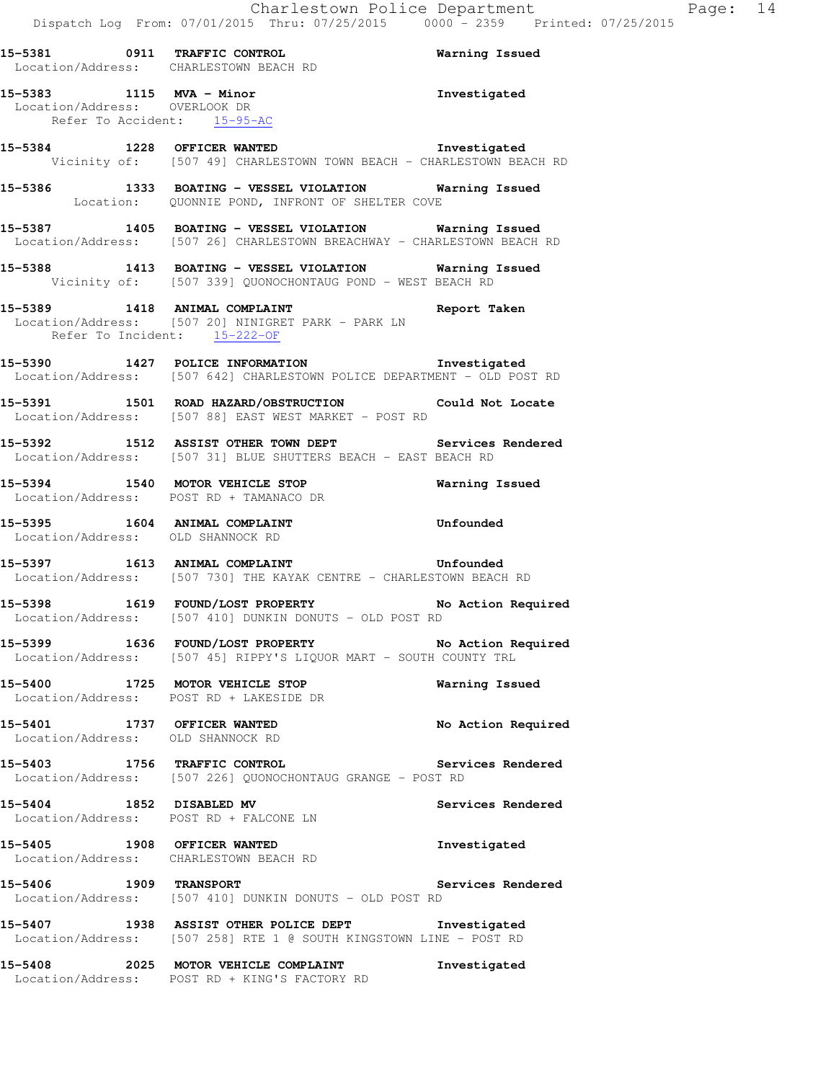|                                                                                          | 15-5381 0911 TRAFFIC CONTROL CONTROL Warning Issued<br>Location/Address: CHARLESTOWN BEACH RD                                     |                    |
|------------------------------------------------------------------------------------------|-----------------------------------------------------------------------------------------------------------------------------------|--------------------|
| 15-5383 1115 MVA - Minor<br>Location/Address: OVERLOOK DR<br>Refer To Accident: 15-95-AC |                                                                                                                                   | Investigated       |
|                                                                                          | 15-5384 1228 OFFICER WANTED Investigated<br>Vicinity of: [507 49] CHARLESTOWN TOWN BEACH - CHARLESTOWN BEACH RD                   |                    |
|                                                                                          | 15-5386 1333 BOATING - VESSEL VIOLATION Warning Issued<br>Location: QUONNIE POND, INFRONT OF SHELTER COVE                         |                    |
|                                                                                          | 15-5387 1405 BOATING - VESSEL VIOLATION Warning Issued<br>Location/Address: [507 26] CHARLESTOWN BREACHWAY - CHARLESTOWN BEACH RD |                    |
|                                                                                          | 15-5388 1413 BOATING - VESSEL VIOLATION Warning Issued<br>Vicinity of: [507 339] QUONOCHONTAUG POND - WEST BEACH RD               |                    |
| Refer To Incident: 15-222-OF                                                             | 15-5389 1418 ANIMAL COMPLAINT<br>Location/Address: [507 20] NINIGRET PARK - PARK LN                                               | Report Taken       |
|                                                                                          | 15-5390 1427 POLICE INFORMATION 1nvestigated<br>Location/Address: [507 642] CHARLESTOWN POLICE DEPARTMENT - OLD POST RD           |                    |
|                                                                                          | 15-5391 1501 ROAD HAZARD/OBSTRUCTION Could Not Locate<br>Location/Address: [507 88] EAST WEST MARKET - POST RD                    |                    |
|                                                                                          | 15-5392 1512 ASSIST OTHER TOWN DEPT Services Rendered Location/Address: [507 31] BLUE SHUTTERS BEACH - EAST BEACH RD              |                    |
|                                                                                          | 15-5394 1540 MOTOR VEHICLE STOP Warning Issued<br>Location/Address: POST RD + TAMANACO DR                                         |                    |
|                                                                                          |                                                                                                                                   |                    |
| Location/Address: OLD SHANNOCK RD                                                        | 15-5395 1604 ANIMAL COMPLAINT Unfounded                                                                                           |                    |
|                                                                                          | Location/Address: [507 730] THE KAYAK CENTRE - CHARLESTOWN BEACH RD                                                               |                    |
|                                                                                          | 15-5398 1619 FOUND/LOST PROPERTY No Action Required<br>Location/Address: [507 410] DUNKIN DONUTS - OLD POST RD                    |                    |
|                                                                                          | 15-5399 1636 FOUND/LOST PROPERTY 15-5399 No Action Required<br>Location/Address: [507 45] RIPPY'S LIQUOR MART - SOUTH COUNTY TRL  |                    |
|                                                                                          | 15-5400 1725 MOTOR VEHICLE STOP<br>Location/Address: POST RD + LAKESIDE DR                                                        | Warning Issued     |
| 15-5401 1737 OFFICER WANTED<br>Location/Address: OLD SHANNOCK RD                         |                                                                                                                                   |                    |
| 15-5403 1756 TRAFFIC CONTROL                                                             | Location/Address: [507 226] QUONOCHONTAUG GRANGE - POST RD                                                                        | Services Rendered  |
| 15-5404 1852 DISABLED MV                                                                 | Location/Address: POST RD + FALCONE LN                                                                                            | Services Rendered  |
|                                                                                          | 15-5405 1908 OFFICER WANTED<br>Location/Address: CHARLESTOWN BEACH RD                                                             | Investigated       |
|                                                                                          | 15-5406 1909 TRANSPORT S<br>Location/Address: [507 410] DUNKIN DONUTS - OLD POST RD                                               | Services Rendered  |
|                                                                                          | 15-5407 1938 ASSIST OTHER POLICE DEPT Investigated<br>Location/Address: [507 258] RTE 1 @ SOUTH KINGSTOWN LINE - POST RD          | No Action Required |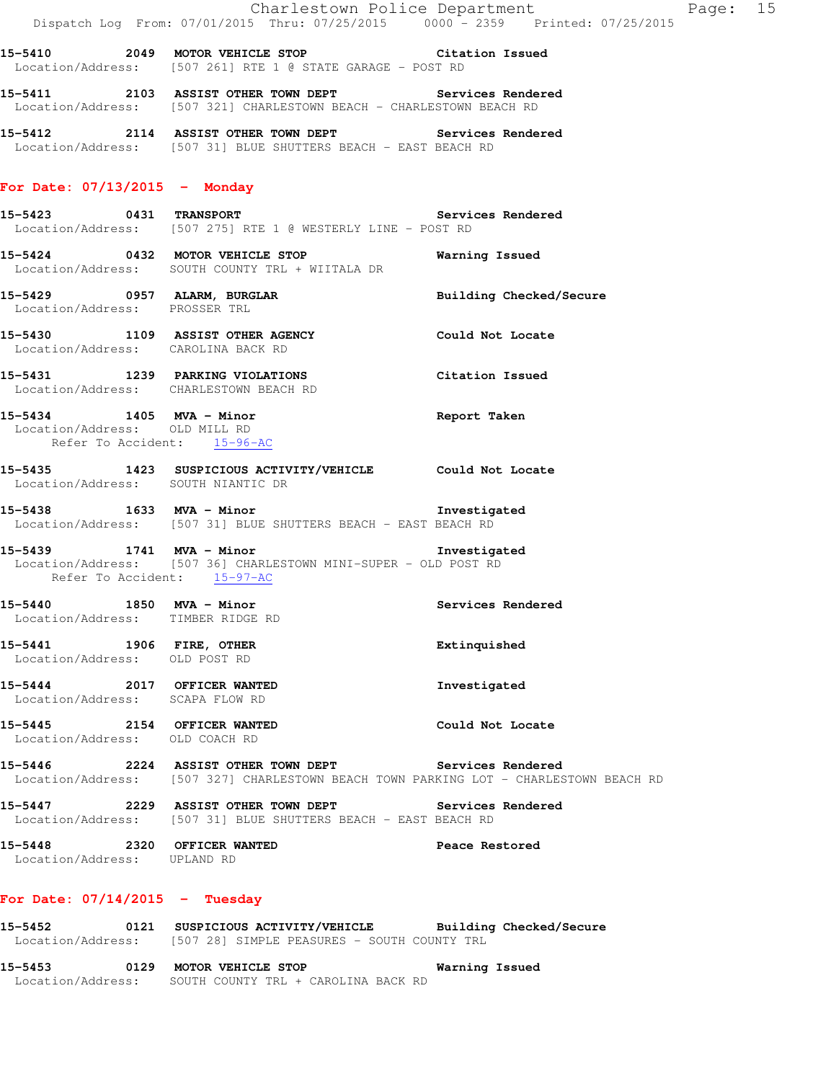|                                                              | Charlestown Police Department<br>Dispatch Log From: 07/01/2015 Thru: 07/25/2015 0000 - 2359 Printed: 07/25/2015               |                         |
|--------------------------------------------------------------|-------------------------------------------------------------------------------------------------------------------------------|-------------------------|
|                                                              | 15-5410 2049 MOTOR VEHICLE STOP Citation Issued<br>Location/Address: [507 261] RTE 1 @ STATE GARAGE - POST RD                 |                         |
|                                                              | 15-5411 2103 ASSIST OTHER TOWN DEPT Services Rendered<br>Location/Address: [507 321] CHARLESTOWN BEACH - CHARLESTOWN BEACH RD |                         |
|                                                              | 15-5412 2114 ASSIST OTHER TOWN DEPT Services Rendered<br>Location/Address: [507 31] BLUE SHUTTERS BEACH - EAST BEACH RD       |                         |
| For Date: $07/13/2015$ - Monday                              |                                                                                                                               |                         |
|                                                              | 15-5423 0431 TRANSPORT Services Rendered<br>Location/Address: [507 275] RTE 1 @ WESTERLY LINE - POST RD                       |                         |
|                                                              | 15-5424 0432 MOTOR VEHICLE STOP<br>Location/Address: SOUTH COUNTY TRL + WIITALA DR                                            | Warning Issued          |
| Location/Address: PROSSER TRL                                | 15-5429 0957 ALARM, BURGLAR                                                                                                   | Building Checked/Secure |
|                                                              | 15-5430 1109 ASSIST OTHER AGENCY Could Not Locate<br>Location/Address: CAROLINA BACK RD                                       |                         |
|                                                              | 15-5431 1239 PARKING VIOLATIONS Citation Issued<br>Location/Address: CHARLESTOWN BEACH RD                                     |                         |
| Location/Address: OLD MILL RD<br>Refer To Accident: 15-96-AC | 15-5434 1405 MVA - Minor                                                                                                      | Report Taken            |
|                                                              | 15-5435 1423 SUSPICIOUS ACTIVITY/VEHICLE Could Not Locate<br>Location/Address: SOUTH NIANTIC DR                               |                         |

**15-5438 1633 MVA - Minor Investigated**  Location/Address: [507 31] BLUE SHUTTERS BEACH - EAST BEACH RD

**15-5439 1741 MVA - Minor Investigated**  Location/Address: [507 36] CHARLESTOWN MINI-SUPER - OLD POST RD Refer To Accident: 15-97-AC

**15-5440 1850 MVA - Minor Services Rendered**  Location/Address: TIMBER RIDGE RD

**15-5441 1906 FIRE, OTHER Extinquished**  Location/Address: OLD POST RD

**15-5444 2017 OFFICER WANTED Investigated**  Location/Address: SCAPA FLOW RD

**15-5445 2154 OFFICER WANTED Could Not Locate**  Location/Address: OLD COACH RD

**15-5446 2224 ASSIST OTHER TOWN DEPT Services Rendered**  Location/Address: [507 327] CHARLESTOWN BEACH TOWN PARKING LOT - CHARLESTOWN BEACH RD

**15-5447 2229 ASSIST OTHER TOWN DEPT Services Rendered**  Location/Address: [507 31] BLUE SHUTTERS BEACH - EAST BEACH RD

**15-5448 2320 OFFICER WANTED Peace Restored**  Location/Address: UPLAND RD

## **For Date: 07/14/2015 - Tuesday**

**15-5452 0121 SUSPICIOUS ACTIVITY/VEHICLE Building Checked/Secure**  Location/Address: [507 28] SIMPLE PEASURES - SOUTH COUNTY TRL

**15-5453 0129 MOTOR VEHICLE STOP Warning Issued**  Location/Address: SOUTH COUNTY TRL + CAROLINA BACK RD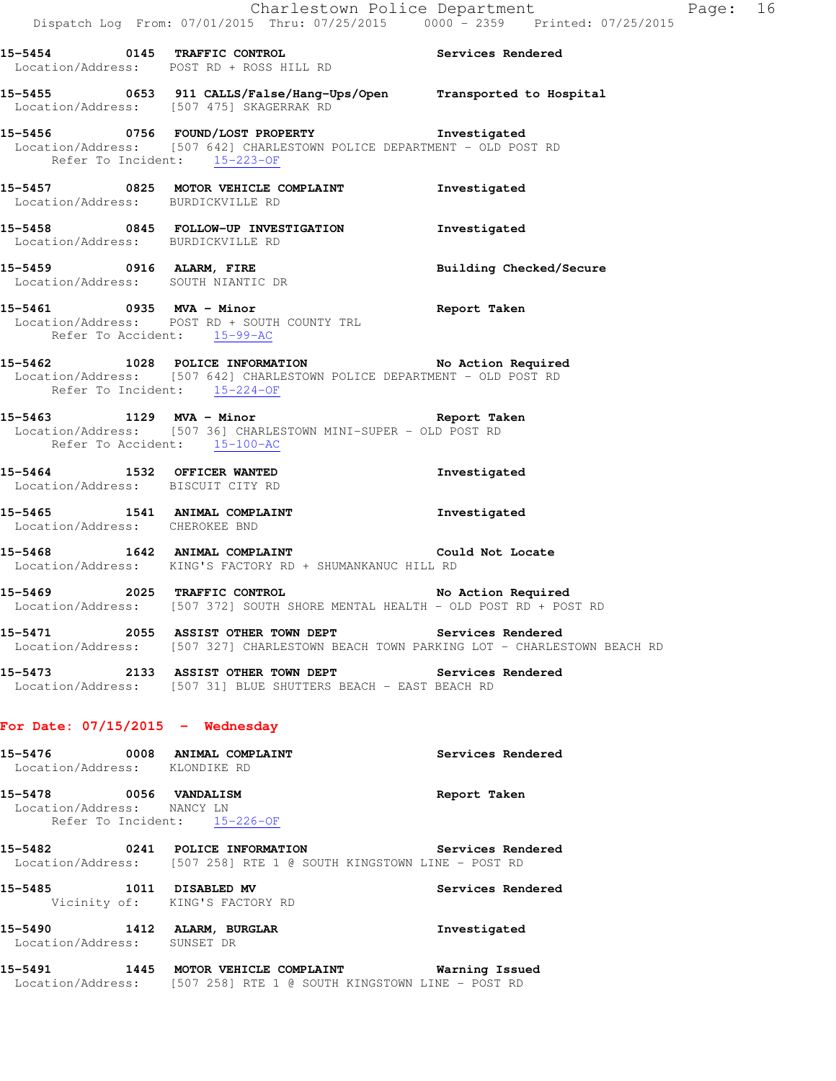**15-5454 0145 TRAFFIC CONTROL Services Rendered**  Location/Address: POST RD + ROSS HILL RD **15-5455 0653 911 CALLS/False/Hang-Ups/Open Transported to Hospital**  Location/Address: [507 475] SKAGERRAK RD **15-5456 0756 FOUND/LOST PROPERTY Investigated**  Location/Address: [507 642] CHARLESTOWN POLICE DEPARTMENT - OLD POST RD Refer To Incident: 15-223-OF **15-5457 0825 MOTOR VEHICLE COMPLAINT Investigated**  Location/Address: BURDICKVILLE RD **15-5458 0845 FOLLOW-UP INVESTIGATION Investigated**  Location/Address: BURDICKVILLE RD **15-5459 0916 ALARM, FIRE Building Checked/Secure**  Location/Address: SOUTH NIANTIC DR **15-5461 0935 MVA - Minor Report Taken**  Location/Address: POST RD + SOUTH COUNTY TRL Refer To Accident:  $15-99-AC$ **15-5462 1028 POLICE INFORMATION No Action Required**  Location/Address: [507 642] CHARLESTOWN POLICE DEPARTMENT - OLD POST RD Refer To Incident: 15-224-OF **15-5463 1129 MVA - Minor Report Taken**  Location/Address: [507 36] CHARLESTOWN MINI-SUPER - OLD POST RD Refer To Accident: 15-100-AC **15-5464 1532 OFFICER WANTED Investigated**  Location/Address: BISCUIT CITY RD **15-5465 1541 ANIMAL COMPLAINT Investigated**  Location/Address: CHEROKEE BND **15-5468 1642 ANIMAL COMPLAINT Could Not Locate**  Location/Address: KING'S FACTORY RD + SHUMANKANUC HILL RD **15-5469 2025 TRAFFIC CONTROL No Action Required**  Location/Address: [507 372] SOUTH SHORE MENTAL HEALTH - OLD POST RD + POST RD **15-5471 2055 ASSIST OTHER TOWN DEPT Services Rendered**  Location/Address: [507 327] CHARLESTOWN BEACH TOWN PARKING LOT - CHARLESTOWN BEACH RD **15-5473 2133 ASSIST OTHER TOWN DEPT Services Rendered**  Location/Address: [507 31] BLUE SHUTTERS BEACH - EAST BEACH RD **For Date: 07/15/2015 - Wednesday 15-5476 0008 ANIMAL COMPLAINT Services Rendered**  Location/Address: KLONDIKE RD

**15-5478 0056 VANDALISM Report Taken**  Location/Address: NANCY LN Refer To Incident: 15-226-OF

**15-5482 0241 POLICE INFORMATION Services Rendered**  Location/Address: [507 258] RTE 1 @ SOUTH KINGSTOWN LINE - POST RD

**15-5485 1011 DISABLED MV Services Rendered**  Vicinity of: KING'S FACTORY RD

**15-5490 1412 ALARM, BURGLAR Investigated**  Location/Address: SUNSET DR

**15-5491 1445 MOTOR VEHICLE COMPLAINT Warning Issued**  Location/Address: [507 258] RTE 1 @ SOUTH KINGSTOWN LINE - POST RD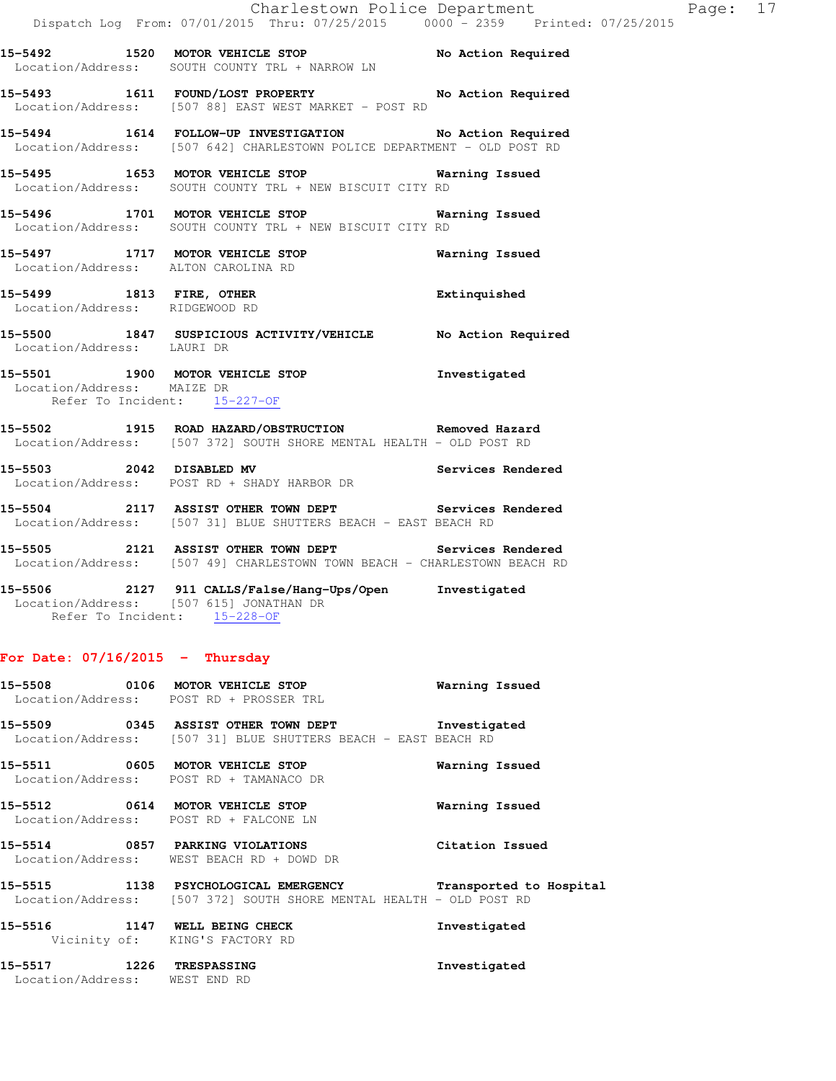|                                                                                      | Dispatch Log From: 07/01/2015 Thru: 07/25/2015                0000 - 2359   Printed: 07/25/2015                                    | Charlestown Police Department | Page: 17 |  |
|--------------------------------------------------------------------------------------|------------------------------------------------------------------------------------------------------------------------------------|-------------------------------|----------|--|
|                                                                                      | 15-5492 1520 MOTOR VEHICLE STOP No Action Required<br>Location/Address: SOUTH COUNTY TRL + NARROW LN                               |                               |          |  |
|                                                                                      | 15-5493 1611 FOUND/LOST PROPERTY No Action Required<br>Location/Address: [507 88] EAST WEST MARKET - POST RD                       |                               |          |  |
|                                                                                      | 15-5494 1614 FOLLOW-UP INVESTIGATION No Action Required<br>Location/Address: [507 642] CHARLESTOWN POLICE DEPARTMENT - OLD POST RD |                               |          |  |
|                                                                                      | 15-5495 1653 MOTOR VEHICLE STOP 15-5495 Warning Issued<br>Location/Address: SOUTH COUNTY TRL + NEW BISCUIT CITY RD                 |                               |          |  |
|                                                                                      | 15-5496 1701 MOTOR VEHICLE STOP 6 Warning Issued<br>Location/Address: SOUTH COUNTY TRL + NEW BISCUIT CITY RD                       |                               |          |  |
|                                                                                      | 15-5497 1717 MOTOR VEHICLE STOP<br>Location/Address: ALTON CAROLINA RD                                                             | Warning Issued                |          |  |
| Location/Address: RIDGEWOOD RD                                                       | 15-5499 1813 FIRE, OTHER                                                                                                           | Extinquished                  |          |  |
| Location/Address: LAURI DR                                                           | 15-5500 1847 SUSPICIOUS ACTIVITY/VEHICLE No Action Required                                                                        |                               |          |  |
| Location/Address: MAIZE DR<br>Refer To Incident: 15-<br>Refer To Incident: 15-227-OF | 15-5501 1900 MOTOR VEHICLE STOP 1nvestigated                                                                                       |                               |          |  |
|                                                                                      | 15-5502 1915 ROAD HAZARD/OBSTRUCTION Removed Hazard<br>Location/Address: [507 372] SOUTH SHORE MENTAL HEALTH - OLD POST RD         |                               |          |  |
|                                                                                      | 15-5503 2042 DISABLED MV Services Rendered<br>Location/Address: POST RD + SHADY HARBOR DR                                          |                               |          |  |
|                                                                                      | 15-5504 2117 ASSIST OTHER TOWN DEPT Services Rendered<br>Location/Address: [507 31] BLUE SHUTTERS BEACH - EAST BEACH RD            |                               |          |  |
|                                                                                      | 15-5505 2121 ASSIST OTHER TOWN DEPT Services Rendered<br>Location/Address: [507 49] CHARLESTOWN TOWN BEACH - CHARLESTOWN BEACH RD  |                               |          |  |

**15-5506 2127 911 CALLS/False/Hang-Ups/Open Investigated**  Location/Address: [507 615] JONATHAN DR Refer To Incident: 15-228-OF

# **For Date: 07/16/2015 - Thursday**

|                                 | 15-5508 0106 MOTOR VEHICLE STOP<br>Location/Address: POST RD + PROSSER TRL                                                                        | Warning Issued  |
|---------------------------------|---------------------------------------------------------------------------------------------------------------------------------------------------|-----------------|
|                                 | 15-5509                0345   ASSIST OTHER TOWN DEPT               Investigated<br>Location/Address: [507 31] BLUE SHUTTERS BEACH - EAST BEACH RD |                 |
|                                 | Location/Address: POST RD + TAMANACO DR                                                                                                           | Warning Issued  |
|                                 | 15-5512 0614 MOTOR VEHICLE STOP<br>Location/Address: POST RD + FALCONE LN                                                                         | Warning Issued  |
| 15-5514 0857 PARKING VIOLATIONS | Location/Address: WEST BEACH RD + DOWD DR                                                                                                         | Citation Issued |
|                                 | 15-5515 1138 PSYCHOLOGICAL EMERGENCY Transported to Hospital<br>Location/Address: [507 372] SOUTH SHORE MENTAL HEALTH - OLD POST RD               |                 |
| 15-5516 1147 WELL BEING CHECK   | Vicinity of: KING'S FACTORY RD                                                                                                                    | Investigated    |
|                                 |                                                                                                                                                   |                 |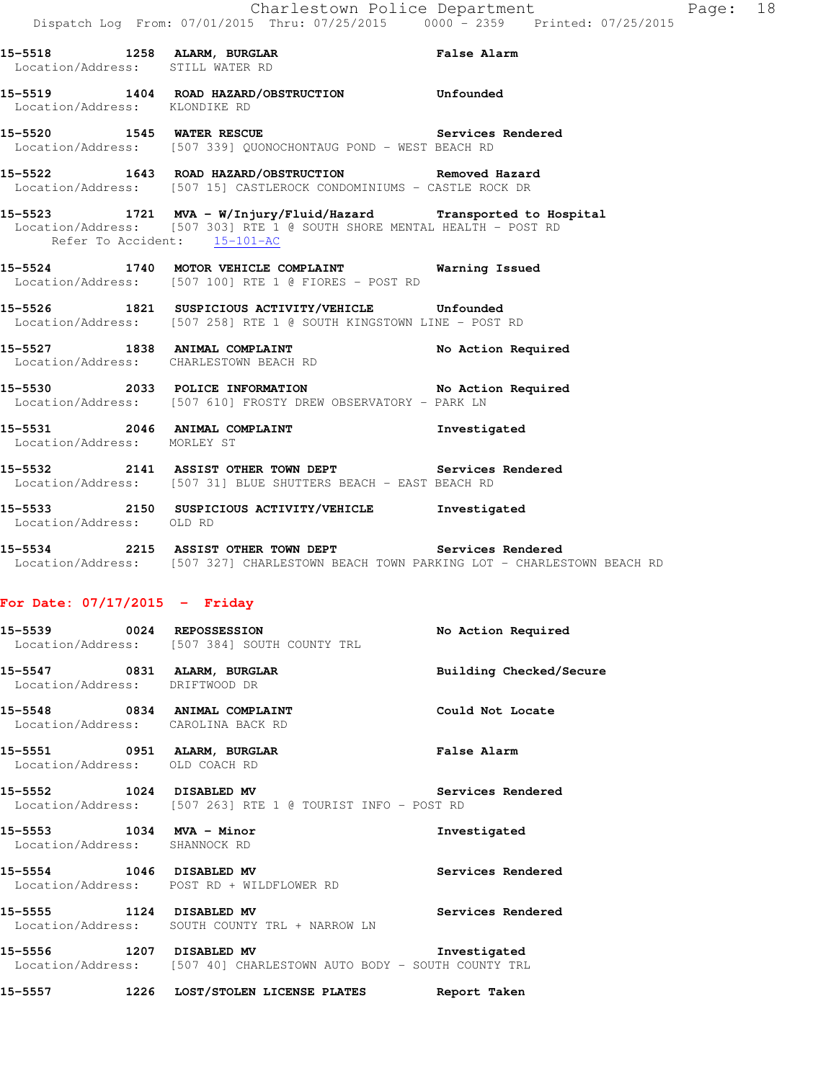|                               | 15-5518 1258 ALARM, BURGLAR 15-5518 False Alarm<br>Location/Address: STILL WATER RD                                                            |  |
|-------------------------------|------------------------------------------------------------------------------------------------------------------------------------------------|--|
| Location/Address: KLONDIKE RD | 15-5519 1404 ROAD HAZARD/OBSTRUCTION Unfounded                                                                                                 |  |
|                               | 15-5520 1545 WATER RESCUE <b>15-68 Services</b> Rendered<br>Location/Address: [507 339] QUONOCHONTAUG POND - WEST BEACH RD                     |  |
|                               | 15-5522 1643 ROAD HAZARD/OBSTRUCTION Removed Hazard<br>Location/Address: [507 15] CASTLEROCK CONDOMINIUMS - CASTLE ROCK DR                     |  |
| Refer To Accident: 15-101-AC  | 15-5523 1721 MVA - W/Injury/Fluid/Hazard Transported to Hospital<br>Location/Address: [507 303] RTE 1 @ SOUTH SHORE MENTAL HEALTH - POST RD    |  |
|                               | 15-5524 1740 MOTOR VEHICLE COMPLAINT Warning Issued<br>Location/Address: [507 100] RTE 1 @ FIORES - POST RD                                    |  |
|                               | 15-5526 1821 SUSPICIOUS ACTIVITY/VEHICLE Unfounded<br>Location/Address: [507 258] RTE 1 @ SOUTH KINGSTOWN LINE - POST RD                       |  |
|                               | 15-5527 1838 ANIMAL COMPLAINT No Action Required Location/Address: CHARLESTOWN BEACH RD                                                        |  |
|                               | 15-5530 2033 POLICE INFORMATION No Action Required<br>Location/Address: [507 610] FROSTY DREW OBSERVATORY - PARK LN                            |  |
| Location/Address: MORLEY ST   | 15-5531 2046 ANIMAL COMPLAINT <b>15-5531</b> Investigated                                                                                      |  |
|                               | 15-5532 2141 ASSIST OTHER TOWN DEPT Services Rendered<br>Location/Address: [507 31] BLUE SHUTTERS BEACH - EAST BEACH RD                        |  |
| Location/Address: OLD RD      | 15-5533 2150 SUSPICIOUS ACTIVITY/VEHICLE Investigated                                                                                          |  |
|                               | 15-5534 2215 ASSIST OTHER TOWN DEPT Services Rendered<br>Location/Address: [507 327] CHARLESTOWN BEACH TOWN PARKING LOT - CHARLESTOWN BEACH RD |  |

# **For Date: 07/17/2015 - Friday**

| 15-5539 0024 REPOSSESSION                                     | Location/Address: [507 384] SOUTH COUNTY TRL                                           | No Action Required      |
|---------------------------------------------------------------|----------------------------------------------------------------------------------------|-------------------------|
| 15-5547 0831 ALARM, BURGLAR<br>Location/Address: DRIFTWOOD DR |                                                                                        | Building Checked/Secure |
|                                                               | 15-5548 0834 ANIMAL COMPLAINT<br>Location/Address: CAROLINA BACK RD                    | Could Not Locate        |
| 15-5551 0951 ALARM, BURGLAR<br>Location/Address: OLD COACH RD |                                                                                        | False Alarm             |
|                                                               | 15-5552 1024 DISABLED MV<br>Location/Address: [507 263] RTE 1 @ TOURIST INFO - POST RD | Services Rendered       |
| 15-5553 1034 MVA - Minor<br>Location/Address: SHANNOCK RD     |                                                                                        | Investigated            |
| 15-5554 1046 DISABLED MV                                      | Location/Address: POST RD + WILDFLOWER RD                                              | Services Rendered       |
| 15-5555 1124 DISABLED MV                                      | Location/Address: SOUTH COUNTY TRL + NARROW LN                                         | Services Rendered       |
| 15–5556                                                       | 1207 DISABLED MV                                                                       | Investigated            |

- Location/Address: [507 40] CHARLESTOWN AUTO BODY SOUTH COUNTY TRL
- **15-5557 1226 LOST/STOLEN LICENSE PLATES Report Taken**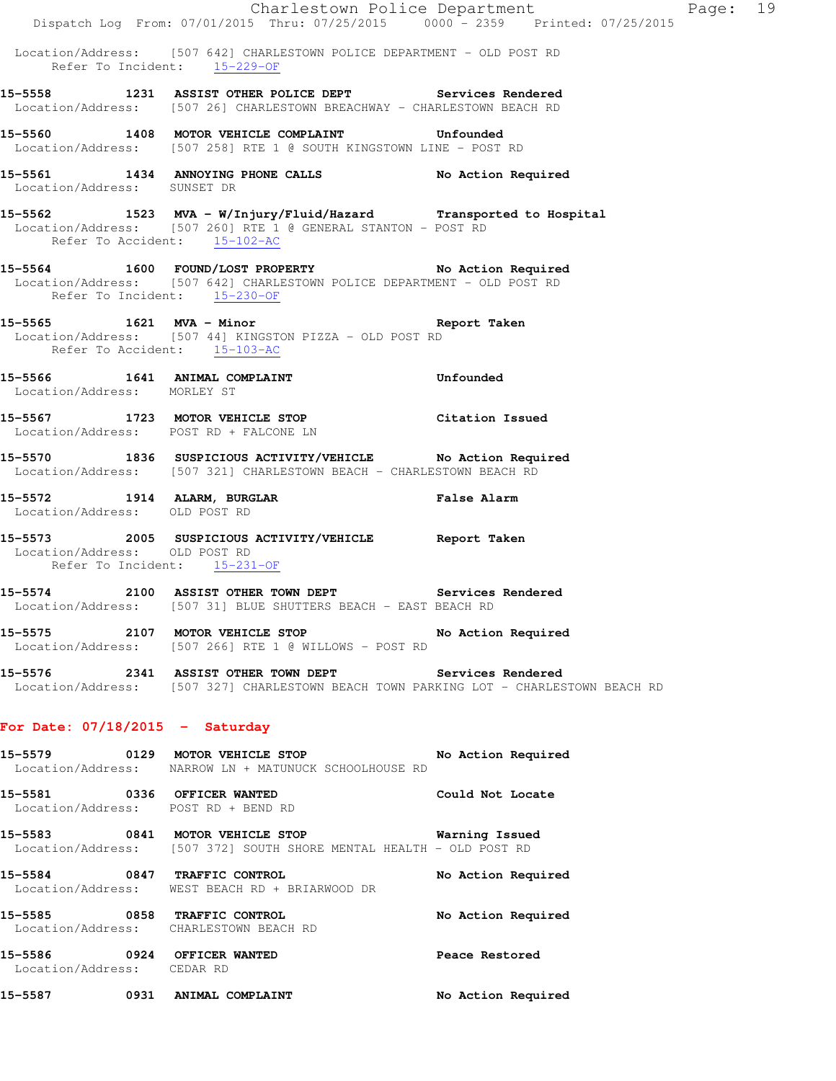|                                                               | Dispatch Log From: 07/01/2015 Thru: 07/25/2015 0000 - 2359 Printed: 07/25/2015                                                      | Charlestown Police Department | Page: 19 |  |
|---------------------------------------------------------------|-------------------------------------------------------------------------------------------------------------------------------------|-------------------------------|----------|--|
|                                                               | Location/Address: [507 642] CHARLESTOWN POLICE DEPARTMENT - OLD POST RD<br>Refer To Incident: 15-229-OF                             |                               |          |  |
|                                                               | 15-5558 1231 ASSIST OTHER POLICE DEPT Services Rendered<br>Location/Address: [507 26] CHARLESTOWN BREACHWAY - CHARLESTOWN BEACH RD  |                               |          |  |
|                                                               | 15-5560 1408 MOTOR VEHICLE COMPLAINT Unfounded<br>Location/Address: [507 258] RTE 1 @ SOUTH KINGSTOWN LINE - POST RD                |                               |          |  |
| Location/Address: SUNSET DR                                   | 15-5561 1434 ANNOYING PHONE CALLS No Action Required                                                                                |                               |          |  |
| Refer To Accident: 15-102-AC                                  | 15-5562 1523 MVA - W/Injury/Fluid/Hazard Transported to Hospital<br>Location/Address: [507 260] RTE 1 @ GENERAL STANTON - POST RD   |                               |          |  |
| Refer To Incident: 15-230-OF                                  | 15-5564 1600 FOUND/LOST PROPERTY No Action Required<br>Location/Address: [507 642] CHARLESTOWN POLICE DEPARTMENT - OLD POST RD      |                               |          |  |
| Refer To Accident: 15-103-AC                                  | 15-5565 1621 MVA - Minor 15 Neport Taken<br>Location/Address: [507 44] KINGSTON PIZZA - OLD POST RD                                 |                               |          |  |
| Location/Address: MORLEY ST                                   | 15-5566 1641 ANIMAL COMPLAINT 15-5566 Unfounded                                                                                     |                               |          |  |
|                                                               | 15-5567 1723 MOTOR VEHICLE STOP Citation Issued<br>Location/Address: POST RD + FALCONE LN                                           |                               |          |  |
|                                                               | 15-5570 1836 SUSPICIOUS ACTIVITY/VEHICLE No Action Required<br>Location/Address: [507 321] CHARLESTOWN BEACH - CHARLESTOWN BEACH RD |                               |          |  |
| Location/Address: OLD POST RD                                 |                                                                                                                                     |                               |          |  |
| Location/Address: OLD POST RD<br>Refer To Incident: 15-231-OF | 15-5573 2005 SUSPICIOUS ACTIVITY/VEHICLE Report Taken                                                                               |                               |          |  |
|                                                               | 15-5574 2100 ASSIST OTHER TOWN DEPT Services Rendered<br>Location/Address: [507 31] BLUE SHUTTERS BEACH - EAST BEACH RD             |                               |          |  |
|                                                               | 15-5575 2107 MOTOR VEHICLE STOP<br>Location/Address: [507 266] RTE 1 @ WILLOWS - POST RD                                            | No Action Required            |          |  |
|                                                               | 15-5576 2341 ASSIST OTHER TOWN DEPT<br>Location/Address: [507 327] CHARLESTOWN BEACH TOWN PARKING LOT - CHARLESTOWN BEACH RD        | <b>Services Rendered</b>      |          |  |
| For Date: $07/18/2015$ - Saturday                             |                                                                                                                                     |                               |          |  |
|                                                               | 15-5579 0129 MOTOR VEHICLE STOP<br>Location/Address: NARROW LN + MATUNUCK SCHOOLHOUSE RD                                            | No Action Required            |          |  |
| 15-5581 0336 OFFICER WANTED                                   | Location/Address: POST RD + BEND RD                                                                                                 | Could Not Locate              |          |  |
| 15–5583                                                       | 0841 MOTOR VEHICLE STOP                                                                                                             | <b>Warning Issued</b>         |          |  |

Location/Address: [507 372] SOUTH SHORE MENTAL HEALTH - OLD POST RD

**15-5584 0847 TRAFFIC CONTROL No Action Required**  Location/Address: WEST BEACH RD + BRIARWOOD DR **15-5585 0858 TRAFFIC CONTROL No Action Required** 

 Location/Address: CHARLESTOWN BEACH RD **15-5586 0924 OFFICER WANTED Peace Restored**  Location/Address: CEDAR RD

**15-5587 0931 ANIMAL COMPLAINT No Action Required**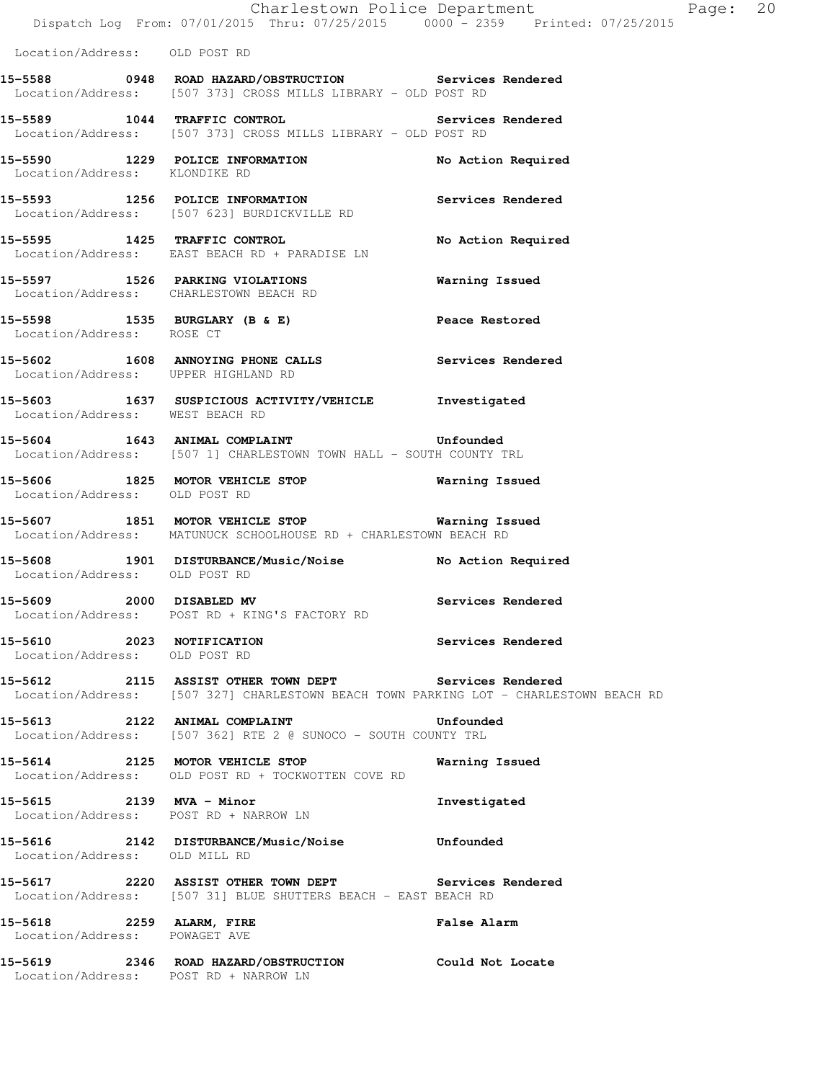|                                                            | Dispatch Log From: 07/01/2015 Thru: 07/25/2015 0000 - 2359 Printed: 07/25/2015                                                                 | Charlestown Police Department | Page: 20 |  |
|------------------------------------------------------------|------------------------------------------------------------------------------------------------------------------------------------------------|-------------------------------|----------|--|
| Location/Address: OLD POST RD                              |                                                                                                                                                |                               |          |  |
|                                                            |                                                                                                                                                |                               |          |  |
|                                                            | 15-5588 0948 ROAD HAZARD/OBSTRUCTION Services Rendered<br>Location/Address: [507 373] CROSS MILLS LIBRARY - OLD POST RD                        |                               |          |  |
|                                                            | 15-5589 1044 TRAFFIC CONTROL<br>Location/Address: [507 373] CROSS MILLS LIBRARY - OLD POST RD                                                  | Services Rendered             |          |  |
| Location/Address: KLONDIKE RD                              | 15-5590 1229 POLICE INFORMATION                                                                                                                | No Action Required            |          |  |
|                                                            | 15-5593 1256 POLICE INFORMATION<br>Location/Address: [507 623] BURDICKVILLE RD                                                                 | Services Rendered             |          |  |
|                                                            | 15-5595 1425 TRAFFIC CONTROL<br>Location/Address: EAST BEACH RD + PARADISE LN                                                                  | No Action Required            |          |  |
|                                                            | 15-5597 1526 PARKING VIOLATIONS<br>Location/Address: CHARLESTOWN BEACH RD                                                                      | Warning Issued                |          |  |
| Location/Address: ROSE CT                                  | 15-5598 1535 BURGLARY (B & E) Peace Restored                                                                                                   |                               |          |  |
| Location/Address: UPPER HIGHLAND RD                        | 15-5602 1608 ANNOYING PHONE CALLS Services Rendered                                                                                            |                               |          |  |
| Location/Address: WEST BEACH RD                            | 15-5603 1637 SUSPICIOUS ACTIVITY/VEHICLE Investigated                                                                                          |                               |          |  |
|                                                            | 15-5604 1643 ANIMAL COMPLAINT 15-5604 Unfounded<br>Location/Address: [507 1] CHARLESTOWN TOWN HALL - SOUTH COUNTY TRL                          |                               |          |  |
| Location/Address: OLD POST RD                              | 15-5606 1825 MOTOR VEHICLE STOP <b>1828</b> Warning Issued                                                                                     |                               |          |  |
|                                                            | 15-5607 1851 MOTOR VEHICLE STOP 6 Warning Issued<br>Location/Address: MATUNUCK SCHOOLHOUSE RD + CHARLESTOWN BEACH RD                           |                               |          |  |
| Location/Address: OLD POST RD                              | 15-5608 1901 DISTURBANCE/Music/Noise No Action Required                                                                                        |                               |          |  |
| 15-5609 2000 DISABLED MV                                   | Location/Address: POST RD + KING'S FACTORY RD                                                                                                  | Services Rendered             |          |  |
| 15-5610 2023 NOTIFICATION<br>Location/Address: OLD POST RD |                                                                                                                                                | Services Rendered             |          |  |
|                                                            | 15-5612 2115 ASSIST OTHER TOWN DEPT Services Rendered<br>Location/Address: [507 327] CHARLESTOWN BEACH TOWN PARKING LOT - CHARLESTOWN BEACH RD |                               |          |  |
|                                                            | 15-5613 2122 ANIMAL COMPLAINT<br>Location/Address: [507 362] RTE 2 @ SUNOCO - SOUTH COUNTY TRL                                                 | Unfounded                     |          |  |
|                                                            | 15-5614 2125 MOTOR VEHICLE STOP<br>Location/Address: OLD POST RD + TOCKWOTTEN COVE RD                                                          | Warning Issued                |          |  |
|                                                            | 15-5615 2139 MVA - Minor<br>Location/Address: POST RD + NARROW LN                                                                              | Investigated                  |          |  |
| Location/Address: OLD MILL RD                              | 15-5616 2142 DISTURBANCE/Music/Noise Unfounded                                                                                                 |                               |          |  |
|                                                            | 15-5617 2220 ASSIST OTHER TOWN DEPT Services Rendered<br>Location/Address: [507 31] BLUE SHUTTERS BEACH - EAST BEACH RD                        |                               |          |  |
| Location/Address: POWAGET AVE                              | 15-5618 2259 ALARM, FIRE                                                                                                                       | <b>False Alarm</b>            |          |  |
| Location/Address: POST RD + NARROW LN                      | 15-5619 2346 ROAD HAZARD/OBSTRUCTION Could Not Locate                                                                                          |                               |          |  |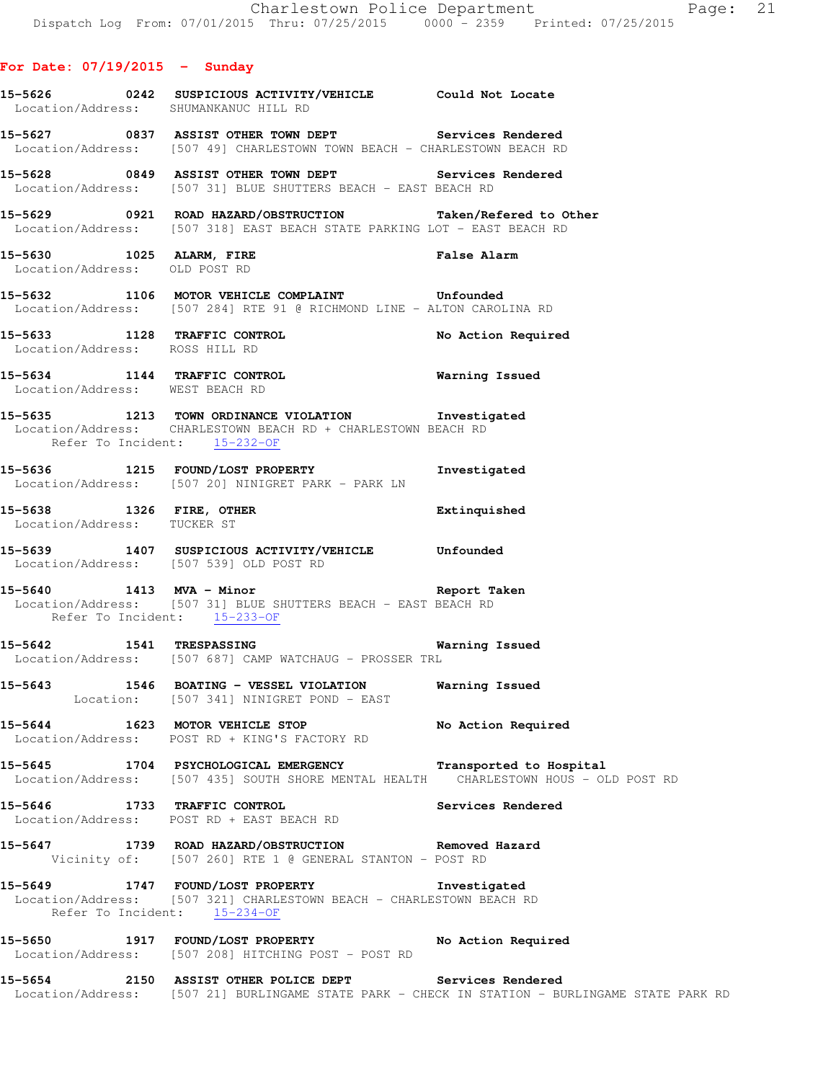# **For Date: 07/19/2015 - Sunday**

|                                                           | 15-5626 0242 SUSPICIOUS ACTIVITY/VEHICLE Could Not Locate<br>Location/Address: SHUMANKANUC HILL RD                                                   |                                                                                                |
|-----------------------------------------------------------|------------------------------------------------------------------------------------------------------------------------------------------------------|------------------------------------------------------------------------------------------------|
|                                                           | 15-5627 0837 ASSIST OTHER TOWN DEPT Services Rendered<br>Location/Address: [507 49] CHARLESTOWN TOWN BEACH - CHARLESTOWN BEACH RD                    |                                                                                                |
|                                                           | 15-5628 0849 ASSIST OTHER TOWN DEPT Services Rendered<br>Location/Address: [507 31] BLUE SHUTTERS BEACH - EAST BEACH RD                              |                                                                                                |
|                                                           | 15-5629 0921 ROAD HAZARD/OBSTRUCTION Taken/Refered to Other<br>Location/Address: [507 318] EAST BEACH STATE PARKING LOT - EAST BEACH RD              |                                                                                                |
| 15-5630 1025 ALARM, FIRE<br>Location/Address: OLD POST RD |                                                                                                                                                      | False Alarm                                                                                    |
|                                                           | 15-5632 1106 MOTOR VEHICLE COMPLAINT Unfounded<br>Location/Address: [507 284] RTE 91 @ RICHMOND LINE - ALTON CAROLINA RD                             |                                                                                                |
| Location/Address: ROSS HILL RD                            | 15-5633 1128 TRAFFIC CONTROL No Action Required                                                                                                      |                                                                                                |
| Location/Address: WEST BEACH RD                           | 15-5634 1144 TRAFFIC CONTROL <b>Warning Issued</b>                                                                                                   |                                                                                                |
| Refer To Incident: 15-232-OF                              | 15-5635 1213 TOWN ORDINANCE VIOLATION Investigated<br>Location/Address: CHARLESTOWN BEACH RD + CHARLESTOWN BEACH RD                                  |                                                                                                |
|                                                           | 15-5636 1215 FOUND/LOST PROPERTY 15-5636 Investigated<br>Location/Address: [507 20] NINIGRET PARK - PARK LN                                          |                                                                                                |
| Location/Address: TUCKER ST                               | 15-5638 1326 FIRE, OTHER 2008 Extinquished                                                                                                           |                                                                                                |
|                                                           | 15-5639 1407 SUSPICIOUS ACTIVITY/VEHICLE Unfounded<br>Location/Address: [507 539] OLD POST RD                                                        |                                                                                                |
|                                                           | 15-5640 1413 MVA - Minor 15-5640 Report Taken<br>Location/Address: [507 31] BLUE SHUTTERS BEACH - EAST BEACH RD<br>Refer To Incident: 15-233-OF      |                                                                                                |
| 15-5642 1541 TRESPASSING                                  | Location/Address: [507 687] CAMP WATCHAUG - PROSSER TRL                                                                                              | Warning Issued                                                                                 |
|                                                           | 15-5643 1546 BOATING - VESSEL VIOLATION Warning Issued<br>Location: [507 341] NINIGRET POND - EAST                                                   |                                                                                                |
|                                                           | 15-5644 1623 MOTOR VEHICLE STOP<br>Location/Address: POST RD + KING'S FACTORY RD                                                                     | No Action Required                                                                             |
|                                                           | 15-5645 1704 PSYCHOLOGICAL EMERGENCY Transported to Hospital<br>Location/Address: [507 435] SOUTH SHORE MENTAL HEALTH CHARLESTOWN HOUS - OLD POST RD |                                                                                                |
|                                                           | 15-5646 1733 TRAFFIC CONTROL<br>Location/Address: POST RD + EAST BEACH RD                                                                            | <b>Services Rendered</b>                                                                       |
|                                                           | 15-5647 1739 ROAD HAZARD/OBSTRUCTION Removed Hazard<br>Vicinity of: [507 260] RTE 1 @ GENERAL STANTON - POST RD                                      |                                                                                                |
| 15-5649                                                   | 1747 FOUND/LOST PROPERTY Threstigated<br>Location/Address: [507 321] CHARLESTOWN BEACH - CHARLESTOWN BEACH RD<br>Refer To Incident: 15-234-OF        |                                                                                                |
|                                                           | 15-5650 1917 FOUND/LOST PROPERTY No Action Required<br>Location/Address: [507 208] HITCHING POST - POST RD                                           |                                                                                                |
|                                                           | 15-5654 2150 ASSIST OTHER POLICE DEPT Services Rendered                                                                                              | Location/Address: [507 21] BURLINGAME STATE PARK - CHECK IN STATION - BURLINGAME STATE PARK RD |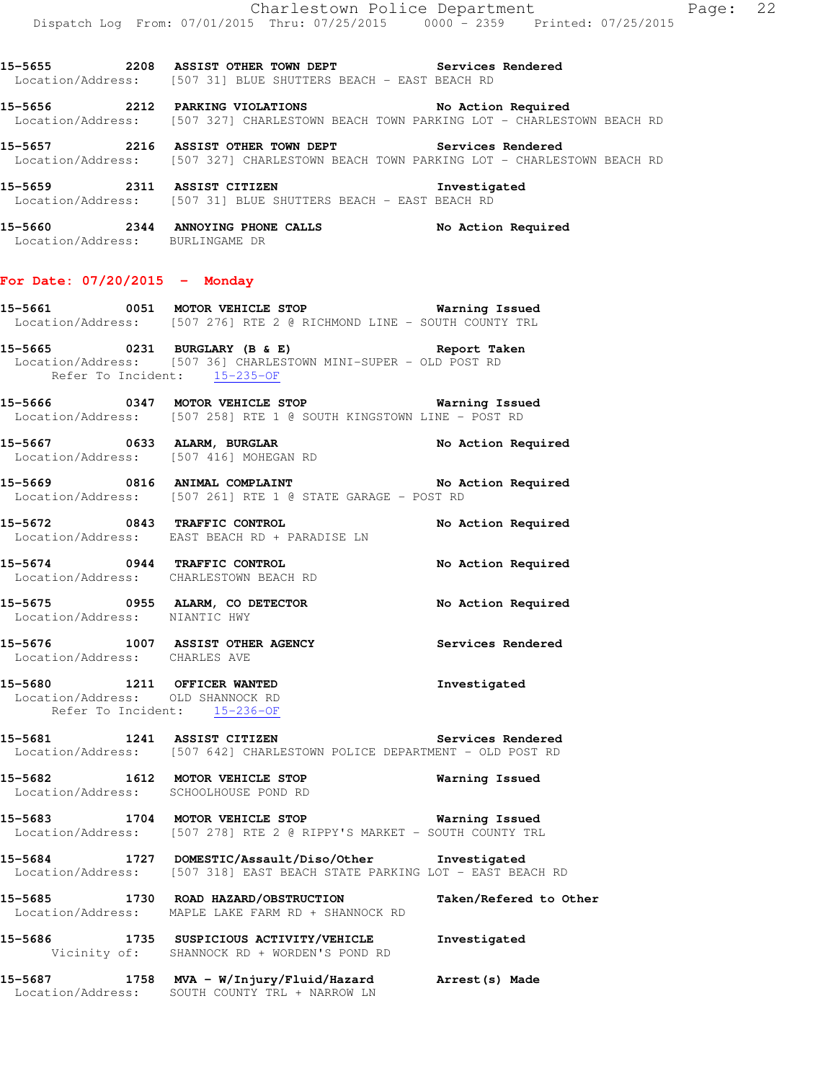**15-5655 2208 ASSIST OTHER TOWN DEPT Services Rendered** 

Location/Address: [507 31] BLUE SHUTTERS BEACH - EAST BEACH RD

**15-5656 2212 PARKING VIOLATIONS No Action Required**  Location/Address: [507 327] CHARLESTOWN BEACH TOWN PARKING LOT - CHARLESTOWN BEACH RD **15-5657 2216 ASSIST OTHER TOWN DEPT Services Rendered**  Location/Address: [507 327] CHARLESTOWN BEACH TOWN PARKING LOT - CHARLESTOWN BEACH RD **15-5659 2311 ASSIST CITIZEN Investigated**  Location/Address: [507 31] BLUE SHUTTERS BEACH - EAST BEACH RD **15-5660 2344 ANNOYING PHONE CALLS No Action Required**  Location/Address: BURLINGAME DR **For Date: 07/20/2015 - Monday 15-5661 0051 MOTOR VEHICLE STOP Warning Issued**  Location/Address: [507 276] RTE 2 @ RICHMOND LINE - SOUTH COUNTY TRL **15-5665 0231 BURGLARY (B & E) Report Taken**  Location/Address: [507 36] CHARLESTOWN MINI-SUPER - OLD POST RD Refer To Incident: 15-235-OF **15-5666 0347 MOTOR VEHICLE STOP Warning Issued**  Location/Address: [507 258] RTE 1 @ SOUTH KINGSTOWN LINE - POST RD **15-5667 0633 ALARM, BURGLAR No Action Required**  Location/Address: [507 416] MOHEGAN RD **15-5669 0816 ANIMAL COMPLAINT No Action Required**  Location/Address: [507 261] RTE 1 @ STATE GARAGE - POST RD **15-5672 0843 TRAFFIC CONTROL No Action Required**  Location/Address: EAST BEACH RD + PARADISE LN **15-5674 0944 TRAFFIC CONTROL No Action Required**  Location/Address: CHARLESTOWN BEACH RD **15-5675 0955 ALARM, CO DETECTOR No Action Required**  Location/Address: NIANTIC HWY **15-5676 1007 ASSIST OTHER AGENCY Services Rendered**  Location/Address: CHARLES AVE **15-5680 1211 OFFICER WANTED Investigated**  Location/Address: OLD SHANNOCK RD Refer To Incident: 15-236-OF **15-5681 1241 ASSIST CITIZEN Services Rendered**  Location/Address: [507 642] CHARLESTOWN POLICE DEPARTMENT - OLD POST RD **15-5682 1612 MOTOR VEHICLE STOP Warning Issued**  Location/Address: SCHOOLHOUSE POND RD **15-5683 1704 MOTOR VEHICLE STOP Warning Issued**  Location/Address: [507 278] RTE 2 @ RIPPY'S MARKET - SOUTH COUNTY TRL

**15-5684 1727 DOMESTIC/Assault/Diso/Other Investigated**  Location/Address: [507 318] EAST BEACH STATE PARKING LOT - EAST BEACH RD

**15-5685 1730 ROAD HAZARD/OBSTRUCTION Taken/Refered to Other**  Location/Address: MAPLE LAKE FARM RD + SHANNOCK RD

**15-5686 1735 SUSPICIOUS ACTIVITY/VEHICLE Investigated**  Vicinity of: SHANNOCK RD + WORDEN'S POND RD

**15-5687 1758 MVA - W/Injury/Fluid/Hazard Arrest(s) Made**  Location/Address: SOUTH COUNTY TRL + NARROW LN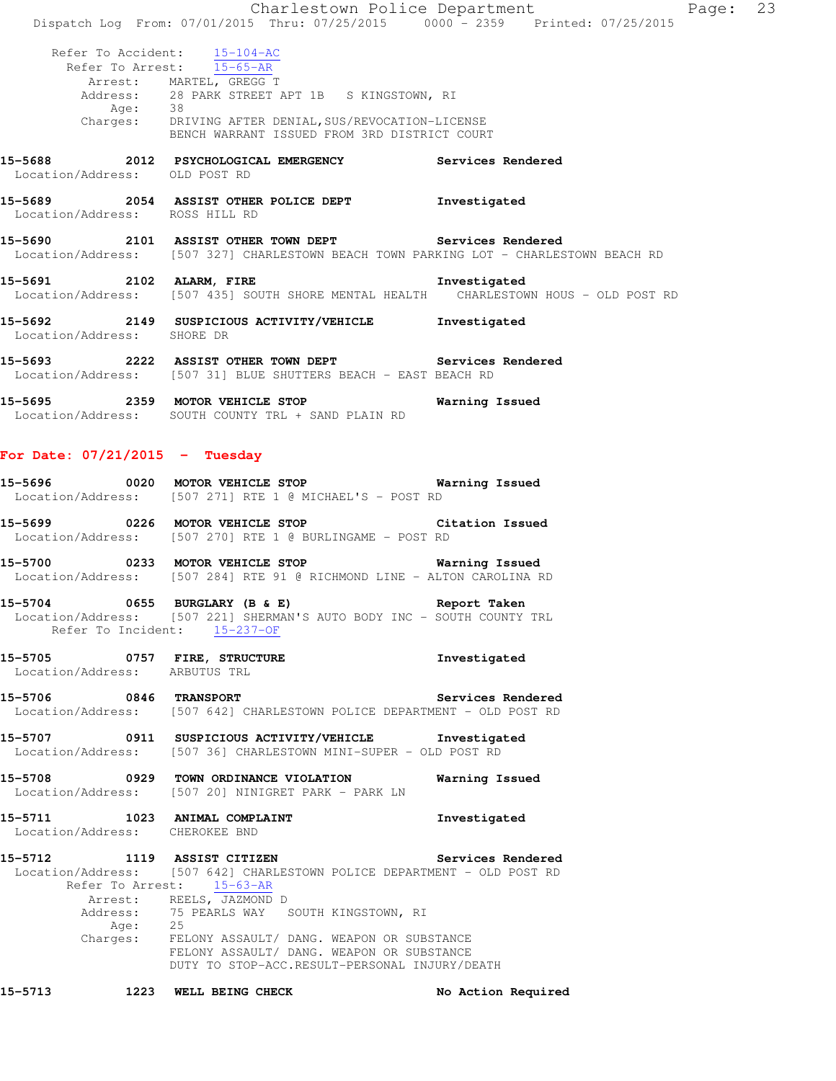|                                  |         | Dispatch Log From: 07/01/2015 Thru: 07/25/2015 0000 - 2359 Printed: 07/25/2015                                                                                                                                                                  | Charlestown Police Department | Page: 23 |  |
|----------------------------------|---------|-------------------------------------------------------------------------------------------------------------------------------------------------------------------------------------------------------------------------------------------------|-------------------------------|----------|--|
|                                  | Age: 38 | Refer To Accident: 15-104-AC<br>Refer To Arrest: 15-65-AR<br>Arrest: MARTEL, GREGG T<br>Address: 28 PARK STREET APT 1B S KINGSTOWN, RI<br>Charges: DRIVING AFTER DENIAL, SUS/REVOCATION-LICENSE<br>BENCH WARRANT ISSUED FROM 3RD DISTRICT COURT |                               |          |  |
| Location/Address: OLD POST RD    |         | 15-5688 2012 PSYCHOLOGICAL EMERGENCY Services Rendered                                                                                                                                                                                          |                               |          |  |
| Location/Address: ROSS HILL RD   |         | 15-5689 2054 ASSIST OTHER POLICE DEPT Threstigated                                                                                                                                                                                              |                               |          |  |
|                                  |         | 15-5690 2101 ASSIST OTHER TOWN DEPT Services Rendered<br>Location/Address: [507 327] CHARLESTOWN BEACH TOWN PARKING LOT - CHARLESTOWN BEACH RD                                                                                                  |                               |          |  |
|                                  |         | 15-5691 2102 ALARM, FIRE 2008 1nvestigated<br>Location/Address: [507 435] SOUTH SHORE MENTAL HEALTH CHARLESTOWN HOUS - OLD POST RD                                                                                                              |                               |          |  |
| Location/Address: SHORE DR       |         | 15-5692 2149 SUSPICIOUS ACTIVITY/VEHICLE Investigated                                                                                                                                                                                           |                               |          |  |
|                                  |         | 15-5693 2222 ASSIST OTHER TOWN DEPT Services Rendered<br>Location/Address: [507 31] BLUE SHUTTERS BEACH - EAST BEACH RD                                                                                                                         |                               |          |  |
|                                  |         | 15-5695 2359 MOTOR VEHICLE STOP 6 Warning Issued<br>Location/Address: SOUTH COUNTY TRL + SAND PLAIN RD                                                                                                                                          |                               |          |  |
| For Date: $07/21/2015$ - Tuesday |         |                                                                                                                                                                                                                                                 |                               |          |  |

| 15-5696           | 0020 | MOTOR VEHICLE STOP |  |                                       |  | Warning Issued |  |
|-------------------|------|--------------------|--|---------------------------------------|--|----------------|--|
| Location/Address: |      |                    |  | [507 271] RTE 1 @ MICHAEL'S - POST RD |  |                |  |

- **15-5699 0226 MOTOR VEHICLE STOP Citation Issued**  Location/Address: [507 270] RTE 1 @ BURLINGAME - POST RD
- **15-5700 0233 MOTOR VEHICLE STOP Warning Issued**  Location/Address: [507 284] RTE 91 @ RICHMOND LINE - ALTON CAROLINA RD
- **15-5704 0655 BURGLARY (B & E) Report Taken**  Location/Address: [507 221] SHERMAN'S AUTO BODY INC - SOUTH COUNTY TRL Refer To Incident: 15-237-OF
- **15-5705 0757 FIRE, STRUCTURE Investigated**  Location/Address: ARBUTUS TRL
- **15-5706 0846 TRANSPORT Services Rendered**  Location/Address: [507 642] CHARLESTOWN POLICE DEPARTMENT - OLD POST RD
- **15-5707 0911 SUSPICIOUS ACTIVITY/VEHICLE Investigated**  Location/Address: [507 36] CHARLESTOWN MINI-SUPER - OLD POST RD
- **15-5708 0929 TOWN ORDINANCE VIOLATION Warning Issued**  Location/Address: [507 20] NINIGRET PARK - PARK LN
- **15-5711 1023 ANIMAL COMPLAINT Investigated**  Location/Address: CHEROKEE BND
- **15-5712 1119 ASSIST CITIZEN Services Rendered**  Location/Address: [507 642] CHARLESTOWN POLICE DEPARTMENT - OLD POST RD Refer To Arrest: 15-63-AR Arrest: REELS, JAZMOND D Address: 75 PEARLS WAY SOUTH KINGSTOWN, RI Age: 25 Charges: FELONY ASSAULT/ DANG. WEAPON OR SUBSTANCE FELONY ASSAULT/ DANG. WEAPON OR SUBSTANCE DUTY TO STOP-ACC.RESULT-PERSONAL INJURY/DEATH

**15-5713 1223 WELL BEING CHECK No Action Required**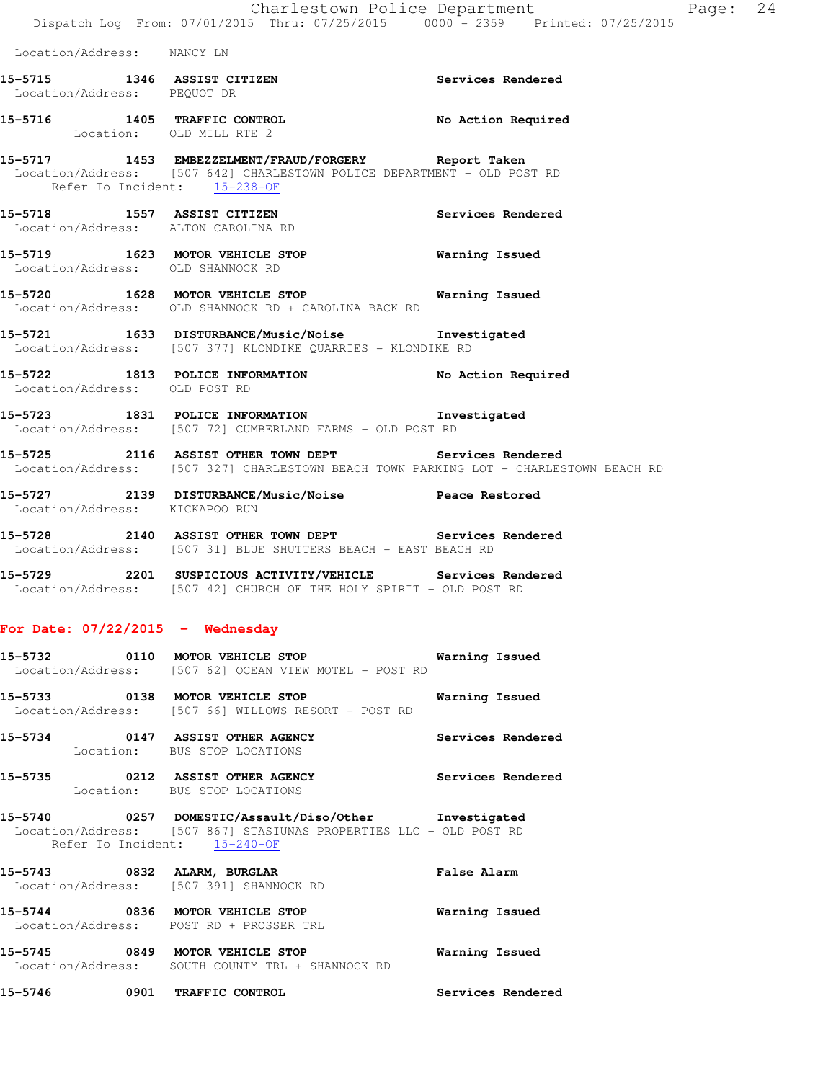**15-5715 1346 ASSIST CITIZEN Services Rendered** 

**15-5716 1405 TRAFFIC CONTROL No Action Required** 

Location/Address: NANCY LN

Location/Address: PEQUOT DR

 Location: OLD MILL RTE 2 **15-5717 1453 EMBEZZELMENT/FRAUD/FORGERY Report Taken**  Location/Address: [507 642] CHARLESTOWN POLICE DEPARTMENT - OLD POST RD Refer To Incident: 15-238-OF **15-5718 1557 ASSIST CITIZEN Services Rendered**  Location/Address: ALTON CAROLINA RD **15-5719 1623 MOTOR VEHICLE STOP Warning Issued**  Location/Address: OLD SHANNOCK RD **15-5720 1628 MOTOR VEHICLE STOP Warning Issued**  Location/Address: OLD SHANNOCK RD + CAROLINA BACK RD **15-5721 1633 DISTURBANCE/Music/Noise Investigated**  Location/Address: [507 377] KLONDIKE QUARRIES - KLONDIKE RD **15-5722 1813 POLICE INFORMATION No Action Required**  Location/Address: OLD POST RD **15-5723 1831 POLICE INFORMATION Investigated**  Location/Address: [507 72] CUMBERLAND FARMS - OLD POST RD **15-5725 2116 ASSIST OTHER TOWN DEPT Services Rendered**  Location/Address: [507 327] CHARLESTOWN BEACH TOWN PARKING LOT - CHARLESTOWN BEACH RD **15-5727 2139 DISTURBANCE/Music/Noise Peace Restored**  Location/Address: KICKAPOO RUN **15-5728 2140 ASSIST OTHER TOWN DEPT Services Rendered**  Location/Address: [507 31] BLUE SHUTTERS BEACH - EAST BEACH RD **15-5729 2201 SUSPICIOUS ACTIVITY/VEHICLE Services Rendered**  Location/Address: [507 42] CHURCH OF THE HOLY SPIRIT - OLD POST RD **For Date: 07/22/2015 - Wednesday 15-5732 0110 MOTOR VEHICLE STOP Warning Issued**  Location/Address: [507 62] OCEAN VIEW MOTEL - POST RD **15-5733 0138 MOTOR VEHICLE STOP Warning Issued**  Location/Address: [507 66] WILLOWS RESORT - POST RD **15-5734 0147 ASSIST OTHER AGENCY Services Rendered**  Location: BUS STOP LOCATIONS **15-5735 0212 ASSIST OTHER AGENCY Services Rendered**  Location: BUS STOP LOCATIONS **15-5740 0257 DOMESTIC/Assault/Diso/Other Investigated**  Location/Address: [507 867] STASIUNAS PROPERTIES LLC - OLD POST RD Refer To Incident: 15-240-OF **15-5743 0832 ALARM, BURGLAR False Alarm**  Location/Address: [507 391] SHANNOCK RD

**15-5744 0836 MOTOR VEHICLE STOP Warning Issued**  Location/Address: POST RD + PROSSER TRL **15-5745 0849 MOTOR VEHICLE STOP Warning Issued**  Location/Address: SOUTH COUNTY TRL + SHANNOCK RD

**15-5746 0901 TRAFFIC CONTROL Services Rendered**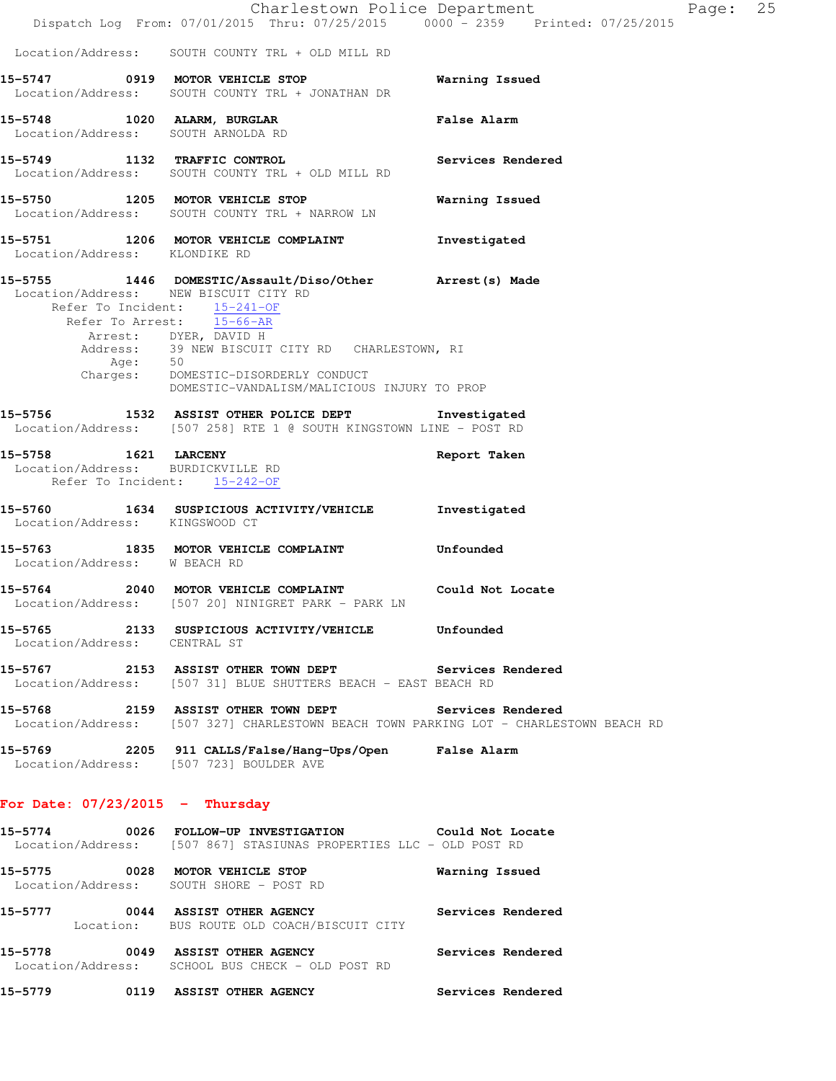|                                                                   | Charlestown Police Department<br>Dispatch Log From: 07/01/2015 Thru: 07/25/2015 0000 - 2359 Printed: 07/25/2015                                                                                                                                                                                                                                 |                    | Page: | 25 |
|-------------------------------------------------------------------|-------------------------------------------------------------------------------------------------------------------------------------------------------------------------------------------------------------------------------------------------------------------------------------------------------------------------------------------------|--------------------|-------|----|
|                                                                   | Location/Address: SOUTH COUNTY TRL + OLD MILL RD                                                                                                                                                                                                                                                                                                |                    |       |    |
|                                                                   | 15-5747 0919 MOTOR VEHICLE STOP<br>Location/Address: SOUTH COUNTY TRL + JONATHAN DR                                                                                                                                                                                                                                                             | Warning Issued     |       |    |
| 15-5748 1020 ALARM, BURGLAR<br>Location/Address: SOUTH ARNOLDA RD |                                                                                                                                                                                                                                                                                                                                                 | <b>False Alarm</b> |       |    |
| 15-5749 1132 TRAFFIC CONTROL                                      | Location/Address: SOUTH COUNTY TRL + OLD MILL RD                                                                                                                                                                                                                                                                                                | Services Rendered  |       |    |
|                                                                   | 15-5750 1205 MOTOR VEHICLE STOP<br>Location/Address: SOUTH COUNTY TRL + NARROW LN                                                                                                                                                                                                                                                               | Warning Issued     |       |    |
| Location/Address: KLONDIKE RD                                     | 15-5751 1206 MOTOR VEHICLE COMPLAINT                                                                                                                                                                                                                                                                                                            | Investigated       |       |    |
| Location/Address: NEW BISCUIT CITY RD                             | 15-5755 1446 DOMESTIC/Assault/Diso/Other Arrest(s) Made<br>Refer To Incident: 15-241-OF<br>Refer To Arrest: 15-66-AR<br>Arrest: DYER, DAVID H<br>Address: 39 NEW BISCUIT CITY RD CHARLESTOWN, RI<br>Age: 50<br>Charges: DOMESTIC-DISORDERLY CONDUCT<br>NAMESTIC-VANDALISM MALICIOUS INTURY TO BE<br>DOMESTIC-VANDALISM/MALICIOUS INJURY TO PROP |                    |       |    |
|                                                                   | 15-5756 1532 ASSIST OTHER POLICE DEPT 1nvestigated<br>Location/Address: [507 258] RTE 1 @ SOUTH KINGSTOWN LINE - POST RD                                                                                                                                                                                                                        |                    |       |    |
| 15-5758 1621 LARCENY<br>Location/Address: BURDICKVILLE RD         | Refer To Incident: 15-242-OF                                                                                                                                                                                                                                                                                                                    | Report Taken       |       |    |
| Location/Address: KINGSWOOD CT                                    | 15-5760 1634 SUSPICIOUS ACTIVITY/VEHICLE                                                                                                                                                                                                                                                                                                        | Investigated       |       |    |
| Location/Address: W BEACH RD                                      | 15-5763 1835 MOTOR VEHICLE COMPLAINT                                                                                                                                                                                                                                                                                                            | Unfounded          |       |    |
|                                                                   | 15-5764 2040 MOTOR VEHICLE COMPLAINT Could Not Locate<br>Location/Address: [507 20] NINIGRET PARK - PARK LN                                                                                                                                                                                                                                     |                    |       |    |
| Location/Address: CENTRAL ST                                      | 15-5765 2133 SUSPICIOUS ACTIVITY/VEHICLE Unfounded                                                                                                                                                                                                                                                                                              |                    |       |    |
|                                                                   | 15-5767 2153 ASSIST OTHER TOWN DEPT Services Rendered<br>Location/Address: [507 31] BLUE SHUTTERS BEACH - EAST BEACH RD                                                                                                                                                                                                                         |                    |       |    |
|                                                                   | 15-5768 2159 ASSIST OTHER TOWN DEPT<br>Location/Address: [507 327] CHARLESTOWN BEACH TOWN PARKING LOT - CHARLESTOWN BEACH RD                                                                                                                                                                                                                    | Services Rendered  |       |    |
|                                                                   | 15-5769 2205 911 CALLS/False/Hang-Ups/Open False Alarm<br>Location/Address: [507 723] BOULDER AVE                                                                                                                                                                                                                                               |                    |       |    |
| For Date: $07/23/2015$ - Thursday                                 |                                                                                                                                                                                                                                                                                                                                                 |                    |       |    |
|                                                                   | 15-5774 0026 FOLLOW-UP INVESTIGATION Could Not Locate<br>Location/Address: [507 867] STASIUNAS PROPERTIES LLC - OLD POST RD                                                                                                                                                                                                                     |                    |       |    |
|                                                                   | 15-5775 0028 MOTOR VEHICLE STOP<br>Location/Address: SOUTH SHORE - POST RD                                                                                                                                                                                                                                                                      | Warning Issued     |       |    |
|                                                                   | 15-5777 0044 ASSIST OTHER AGENCY Services Rendered<br>Location: BUS ROUTE OLD COACH/BISCUIT CITY                                                                                                                                                                                                                                                |                    |       |    |
|                                                                   | 15-5778 0049 ASSIST OTHER AGENCY Services Rendered<br>Location/Address: SCHOOL BUS CHECK - OLD POST RD                                                                                                                                                                                                                                          |                    |       |    |
|                                                                   | 15-5779 0119 ASSIST OTHER AGENCY Services Rendered                                                                                                                                                                                                                                                                                              |                    |       |    |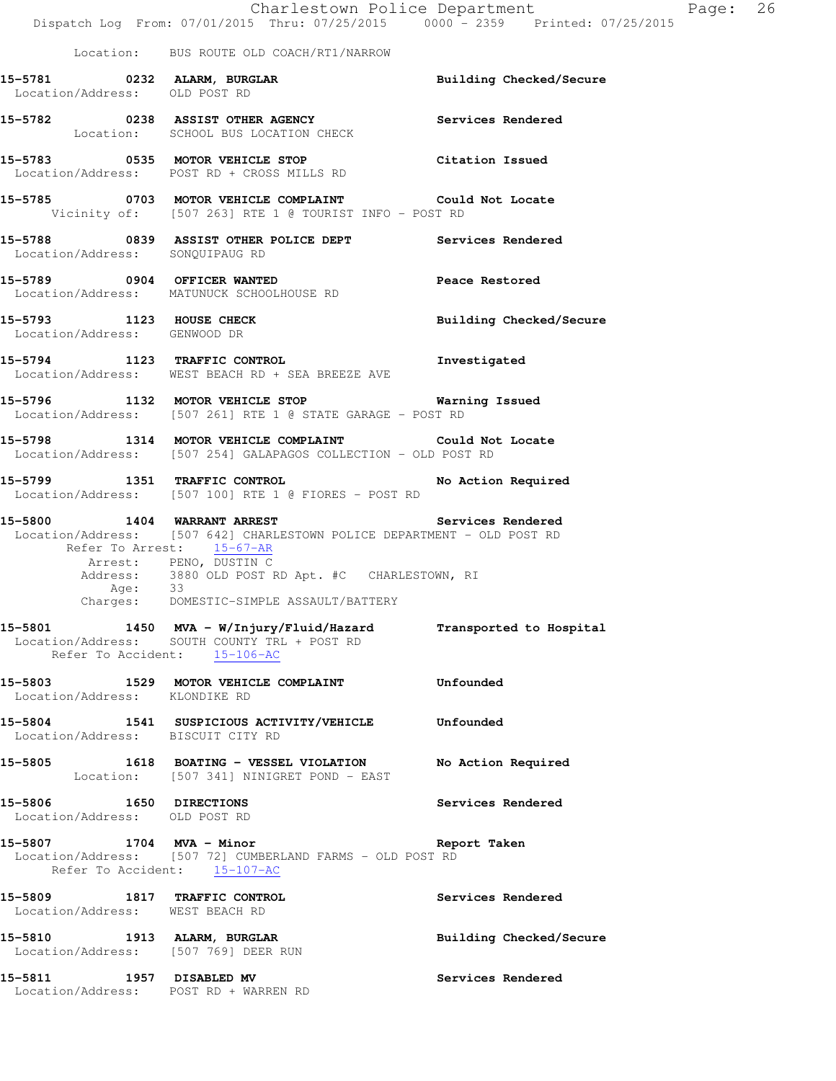|                                                                     | Charlestown Police Department<br>Dispatch Log From: 07/01/2015 Thru: 07/25/2015 0000 <sup>-</sup> 2359 Printed: 07/25/2015                                                      |                                | Page: 26 |  |
|---------------------------------------------------------------------|---------------------------------------------------------------------------------------------------------------------------------------------------------------------------------|--------------------------------|----------|--|
|                                                                     | Location: BUS ROUTE OLD COACH/RT1/NARROW                                                                                                                                        |                                |          |  |
| Location/Address: OLD POST RD                                       | 15-5781 0232 ALARM, BURGLAR <b>Example 2018</b> Building Checked/Secure                                                                                                         |                                |          |  |
|                                                                     | 15-5782 0238 ASSIST OTHER AGENCY Services Rendered<br>Location: SCHOOL BUS LOCATION CHECK                                                                                       |                                |          |  |
|                                                                     | 15-5783 0535 MOTOR VEHICLE STOP<br>Location/Address: POST RD + CROSS MILLS RD                                                                                                   | Citation Issued                |          |  |
|                                                                     | 15-5785 0703 MOTOR VEHICLE COMPLAINT Could Not Locate<br>Vicinity of: [507 263] RTE 1 @ TOURIST INFO - POST RD                                                                  |                                |          |  |
| Location/Address: SONQUIPAUG RD                                     | 15-5788 6839 ASSIST OTHER POLICE DEPT Services Rendered                                                                                                                         |                                |          |  |
|                                                                     | 15-5789 0904 OFFICER WANTED<br>Location/Address: MATUNUCK SCHOOLHOUSE RD                                                                                                        | Peace Restored                 |          |  |
| 15-5793 1123 HOUSE CHECK<br>Location/Address: GENWOOD DR            |                                                                                                                                                                                 | <b>Building Checked/Secure</b> |          |  |
|                                                                     | 15-5794 1123 TRAFFIC CONTROL 15-5794<br>Location/Address: WEST BEACH RD + SEA BREEZE AVE                                                                                        |                                |          |  |
|                                                                     | 15-5796 1132 MOTOR VEHICLE STOP 6 Warning Issued<br>Location/Address: [507 261] RTE 1 @ STATE GARAGE - POST RD                                                                  |                                |          |  |
|                                                                     | 15-5798 1314 MOTOR VEHICLE COMPLAINT Could Not Locate<br>Location/Address: [507 254] GALAPAGOS COLLECTION - OLD POST RD                                                         |                                |          |  |
| 15-5799 1351 TRAFFIC CONTROL                                        | Location/Address: [507 100] RTE 1 @ FIORES - POST RD                                                                                                                            | No Action Required             |          |  |
|                                                                     | 15-5800 1404 WARRANT ARREST Services Rendered<br>Location/Address: [507 642] CHARLESTOWN POLICE DEPARTMENT - OLD POST RD<br>Refer To Arrest: 15-67-AR<br>Arrest: PENO, DUSTIN C |                                |          |  |
| Age: 33                                                             | Address: 3880 OLD POST RD Apt. #C CHARLESTOWN, RI<br>Charges: DOMESTIC-SIMPLE ASSAULT/BATTERY                                                                                   |                                |          |  |
|                                                                     | 15-5801 1450 MVA - W/Injury/Fluid/Hazard<br>Location/Address: SOUTH COUNTY TRL + POST RD<br>Refer To Accident: 15-106-AC                                                        | Transported to Hospital        |          |  |
| Location/Address: KLONDIKE RD                                       | 15-5803 1529 MOTOR VEHICLE COMPLAINT                                                                                                                                            | Unfounded                      |          |  |
| Location/Address: BISCUIT CITY RD                                   | 15-5804 1541 SUSPICIOUS ACTIVITY/VEHICLE Unfounded                                                                                                                              |                                |          |  |
|                                                                     | 15-5805 1618 BOATING - VESSEL VIOLATION<br>Location: [507 341] NINIGRET POND - EAST                                                                                             | No Action Required             |          |  |
| 15-5806 1650 DIRECTIONS<br>Location/Address: OLD POST RD            |                                                                                                                                                                                 | Services Rendered              |          |  |
| Refer To Accident: 15-107-AC                                        | 15-5807 1704 MVA - Minor<br>Location/Address: [507 72] CUMBERLAND FARMS - OLD POST RD                                                                                           | Report Taken                   |          |  |
| 15-5809 1817 TRAFFIC CONTROL<br>Location/Address: WEST BEACH RD     |                                                                                                                                                                                 | Services Rendered              |          |  |
| 15-5810 1913 ALARM, BURGLAR<br>Location/Address: [507 769] DEER RUN |                                                                                                                                                                                 | Building Checked/Secure        |          |  |
| 15-5811 1957 DISABLED MV<br>Location/Address: POST RD + WARREN RD   |                                                                                                                                                                                 | Services Rendered              |          |  |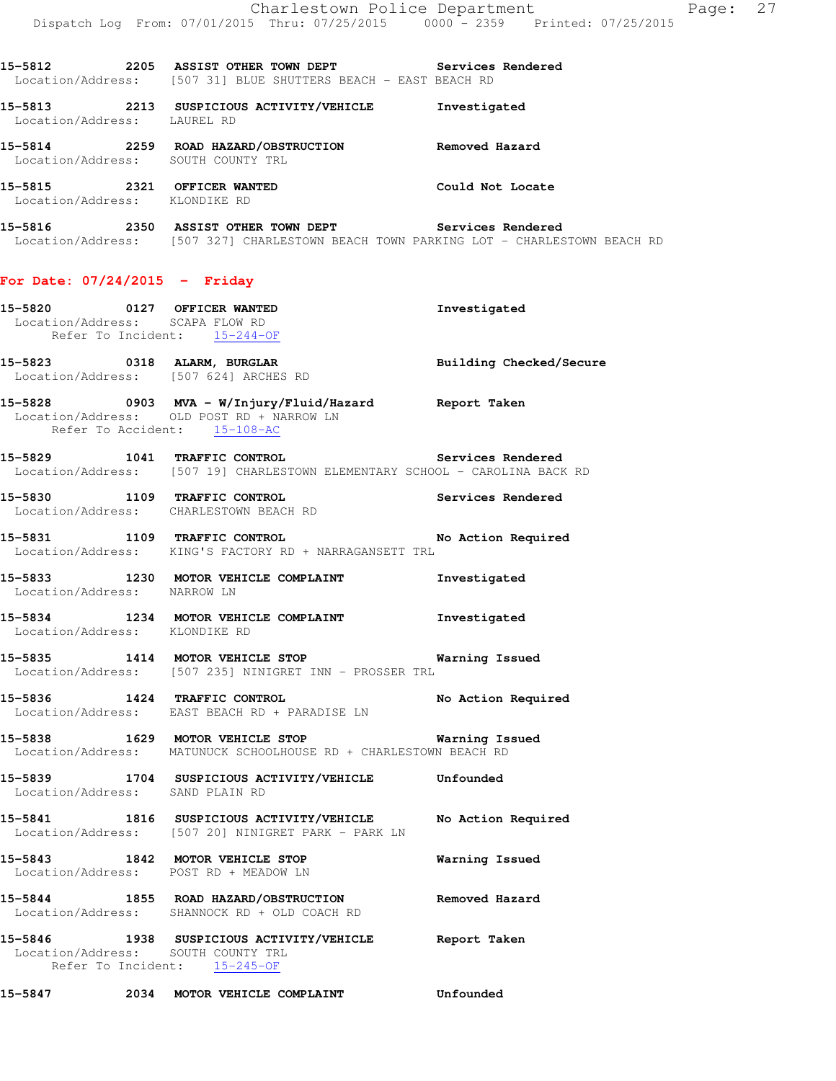**15-5812 2205 ASSIST OTHER TOWN DEPT Services Rendered**  Location/Address: [507 31] BLUE SHUTTERS BEACH - EAST BEACH RD

**15-5813 2213 SUSPICIOUS ACTIVITY/VEHICLE Investigated**  Location/Address: LAUREL RD **15-5814 2259 ROAD HAZARD/OBSTRUCTION Removed Hazard**  Location/Address: SOUTH COUNTY TRL

**15-5815 2321 OFFICER WANTED Could Not Locate**  Location/Address: KLONDIKE RD

**15-5816 2350 ASSIST OTHER TOWN DEPT Services Rendered**  Location/Address: [507 327] CHARLESTOWN BEACH TOWN PARKING LOT - CHARLESTOWN BEACH RD

## **For Date: 07/24/2015 - Friday**

|                                 | 15-5820 0127 OFFICER WANTED<br>Location/Address: SCAPA FLOW RD                                                                     | Investigated            |
|---------------------------------|------------------------------------------------------------------------------------------------------------------------------------|-------------------------|
|                                 | Refer To Incident: 15-244-OF                                                                                                       |                         |
|                                 | 15-5823 0318 ALARM, BURGLAR<br>Location/Address: [507 624] ARCHES RD                                                               | Building Checked/Secure |
|                                 | 15-5828 0903 MVA - W/Injury/Fluid/Hazard Report Taken<br>Location/Address: OLD POST RD + NARROW LN<br>Refer To Accident: 15-108-AC |                         |
|                                 | 15-5829 1041 TRAFFIC CONTROL 1000 Services Rendered<br>Location/Address: [507 19] CHARLESTOWN ELEMENTARY SCHOOL - CAROLINA BACK RD |                         |
|                                 | 15-5830 1109 TRAFFIC CONTROL Services Rendered Location/Address: CHARLESTOWN BEACH RD                                              |                         |
|                                 | 15-5831 1109 TRAFFIC CONTROL 15-5831<br>Location/Address: KING'S FACTORY RD + NARRAGANSETT TRL                                     |                         |
|                                 | 15-5833 1230 MOTOR VEHICLE COMPLAINT 15-5833 1230 MOTOR VEHICLE COMPLAINT 111                                                      |                         |
|                                 | 15-5834 1234 MOTOR VEHICLE COMPLAINT 1nvestigated<br>Location/Address: KLONDIKE RD                                                 |                         |
|                                 | 15-5835 1414 MOTOR VEHICLE STOP <b>Warning Issued</b><br>Location/Address: [507 235] NINIGRET INN - PROSSER TRL                    |                         |
|                                 | 15-5836 1424 TRAFFIC CONTROL No Action Required<br>Location/Address: EAST BEACH RD + PARADISE LN                                   |                         |
|                                 | 15-5838 1629 MOTOR VEHICLE STOP<br>Location/Address: MATUNUCK SCHOOLHOUSE RD + CHARLESTOWN BEACH RD                                | <b>Warning Issued</b>   |
| Location/Address: SAND PLAIN RD | 15-5839 1704 SUSPICIOUS ACTIVITY/VEHICLE Unfounded                                                                                 |                         |
|                                 | 15-5841 1816 SUSPICIOUS ACTIVITY/VEHICLE No Action Required<br>Location/Address: [507 20] NINIGRET PARK - PARK LN                  |                         |
|                                 | 15-5843 1842 MOTOR VEHICLE STOP<br>Location/Address: POST RD + MEADOW LN                                                           | <b>Warning Issued</b>   |
|                                 | 15-5844 1855 ROAD HAZARD/OBSTRUCTION Removed Hazard<br>Location/Address: SHANNOCK RD + OLD COACH RD                                |                         |
|                                 | 15-5846 1938 SUSPICIOUS ACTIVITY/VEHICLE Report Taken<br>Location/Address: SOUTH COUNTY TRL<br>Refer To Incident: 15-245-OF        |                         |

**15-5847 2034 MOTOR VEHICLE COMPLAINT Unfounded**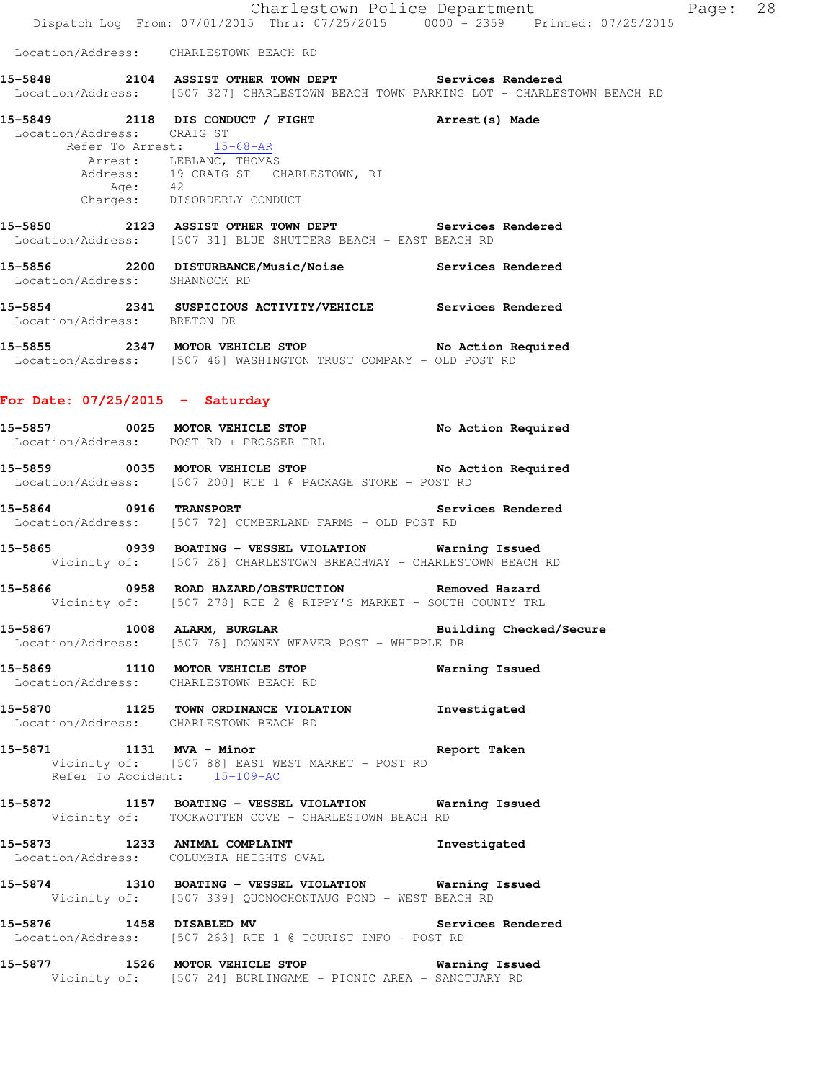Location/Address: CHARLESTOWN BEACH RD

**15-5848 2104 ASSIST OTHER TOWN DEPT Services Rendered**  Location/Address: [507 327] CHARLESTOWN BEACH TOWN PARKING LOT - CHARLESTOWN BEACH RD

| 15-5849                    | 2118 DIS CONDUCT / FIGHT                                       | Arrest (s) Made   |
|----------------------------|----------------------------------------------------------------|-------------------|
| Location/Address: CRAIG ST |                                                                |                   |
|                            | Refer To Arrest: 15-68-AR                                      |                   |
|                            | Arrest: LEBLANC, THOMAS                                        |                   |
|                            | Address: 19 CRAIG ST CHARLESTOWN, RI                           |                   |
| Age:                       | 42                                                             |                   |
| Charges:                   | DISORDERLY CONDUCT                                             |                   |
|                            |                                                                |                   |
| 2123<br>15-5850            | ASSIST OTHER TOWN DEPT                                         | Services Rendered |
|                            | Location/Address: [507 31] BLUE SHUTTERS BEACH - EAST BEACH RD |                   |
|                            |                                                                |                   |

**15-5856 2200 DISTURBANCE/Music/Noise Services Rendered**  Location/Address: SHANNOCK RD

**15-5854 2341 SUSPICIOUS ACTIVITY/VEHICLE Services Rendered**  Location/Address: BRETON DR

15-5855 2347 MOTOR VEHICLE STOP No Action Required Location/Address: [507 46] WASHINGTON TRUST COMPANY - OLD POST RD

## **For Date: 07/25/2015 - Saturday**

| 15-5857           | 0025 | MOTOR VEHICLE STOP    | No Action Required |
|-------------------|------|-----------------------|--------------------|
| Location/Address: |      | POST RD + PROSSER TRL |                    |
| 1 E EOEA          | ハハつに | MAMAD JEUTALE CMAD    | Ma Babian Daguinad |

- **15-5859 0035 MOTOR VEHICLE STOP No Action Required**  Location/Address: [507 200] RTE 1 @ PACKAGE STORE - POST RD
- **15-5864 0916 TRANSPORT Services Rendered**  Location/Address: [507 72] CUMBERLAND FARMS - OLD POST RD

**15-5865 0939 BOATING - VESSEL VIOLATION Warning Issued**  Vicinity of: [507 26] CHARLESTOWN BREACHWAY - CHARLESTOWN BEACH RD

**15-5866 0958 ROAD HAZARD/OBSTRUCTION Removed Hazard**  Vicinity of: [507 278] RTE 2 @ RIPPY'S MARKET - SOUTH COUNTY TRL

**15-5867 1008 ALARM, BURGLAR Building Checked/Secure**  Location/Address: [507 76] DOWNEY WEAVER POST - WHIPPLE DR

**15-5869 1110 MOTOR VEHICLE STOP Warning Issued**  Location/Address: CHARLESTOWN BEACH RD

**15-5870 1125 TOWN ORDINANCE VIOLATION Investigated**  Location/Address: CHARLESTOWN BEACH RD

**15-5871 1131 MVA - Minor Report Taken**  Vicinity of: [507 88] EAST WEST MARKET - POST RD Refer To Accident: 15-109-AC

**15-5872 1157 BOATING - VESSEL VIOLATION Warning Issued**  Vicinity of: TOCKWOTTEN COVE - CHARLESTOWN BEACH RD

**15-5873 1233 ANIMAL COMPLAINT Investigated**  Location/Address: COLUMBIA HEIGHTS OVAL

**15-5874 1310 BOATING - VESSEL VIOLATION Warning Issued**  Vicinity of: [507 339] QUONOCHONTAUG POND - WEST BEACH RD

**15-5876 1458 DISABLED MV Services Rendered**  Location/Address: [507 263] RTE 1 @ TOURIST INFO - POST RD

**15-5877 1526 MOTOR VEHICLE STOP Warning Issued**  Vicinity of: [507 24] BURLINGAME - PICNIC AREA - SANCTUARY RD